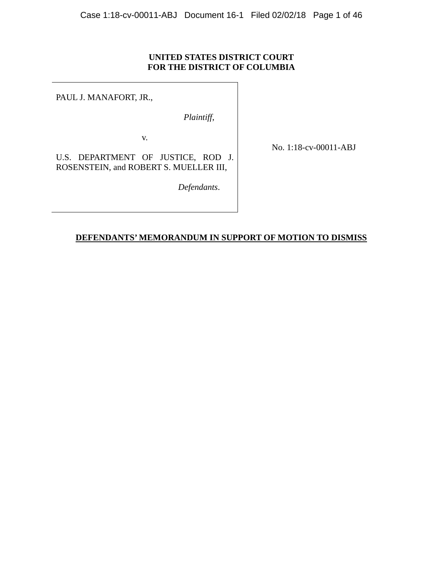### **UNITED STATES DISTRICT COURT FOR THE DISTRICT OF COLUMBIA**

PAUL J. MANAFORT, JR.,

*Plaintiff*,

v.

No. 1:18-cv-00011-ABJ

U.S. DEPARTMENT OF JUSTICE, ROD J. ROSENSTEIN, and ROBERT S. MUELLER III,

 *Defendants*.

### **DEFENDANTS' MEMORANDUM IN SUPPORT OF MOTION TO DISMISS**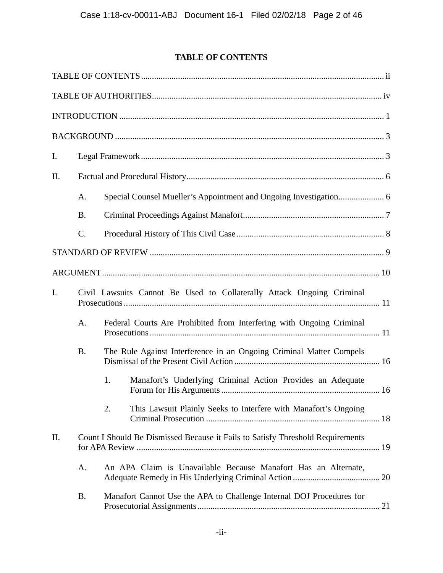# **TABLE OF CONTENTS**

| I.             |                                                                       |                                                                |                                                                                |  |
|----------------|-----------------------------------------------------------------------|----------------------------------------------------------------|--------------------------------------------------------------------------------|--|
| II.            |                                                                       |                                                                |                                                                                |  |
|                | A.                                                                    |                                                                |                                                                                |  |
|                | <b>B.</b>                                                             |                                                                |                                                                                |  |
|                | $\mathcal{C}$ .                                                       |                                                                |                                                                                |  |
|                |                                                                       |                                                                |                                                                                |  |
|                |                                                                       |                                                                |                                                                                |  |
| $\mathbf{I}$ . | Civil Lawsuits Cannot Be Used to Collaterally Attack Ongoing Criminal |                                                                |                                                                                |  |
|                | A.                                                                    |                                                                | Federal Courts Are Prohibited from Interfering with Ongoing Criminal           |  |
|                | <b>B.</b>                                                             |                                                                | The Rule Against Interference in an Ongoing Criminal Matter Compels            |  |
|                |                                                                       | 1.                                                             | Manafort's Underlying Criminal Action Provides an Adequate                     |  |
|                |                                                                       | 2.                                                             | This Lawsuit Plainly Seeks to Interfere with Manafort's Ongoing                |  |
| II.            |                                                                       |                                                                | Count I Should Be Dismissed Because it Fails to Satisfy Threshold Requirements |  |
|                | A.                                                                    | An APA Claim is Unavailable Because Manafort Has an Alternate, |                                                                                |  |
|                | <b>B.</b>                                                             |                                                                | Manafort Cannot Use the APA to Challenge Internal DOJ Procedures for           |  |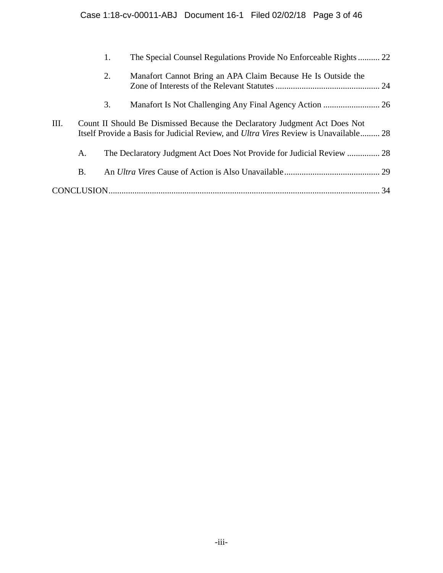|      |    | 1. | The Special Counsel Regulations Provide No Enforceable Rights 22                                                                                                          |    |
|------|----|----|---------------------------------------------------------------------------------------------------------------------------------------------------------------------------|----|
|      |    | 2. | Manafort Cannot Bring an APA Claim Because He Is Outside the                                                                                                              |    |
|      |    | 3. |                                                                                                                                                                           |    |
| III. |    |    | Count II Should Be Dismissed Because the Declaratory Judgment Act Does Not<br>Itself Provide a Basis for Judicial Review, and <i>Ultra Vires</i> Review is Unavailable 28 |    |
|      | A. |    | The Declaratory Judgment Act Does Not Provide for Judicial Review  28                                                                                                     |    |
|      | B. |    |                                                                                                                                                                           |    |
|      |    |    |                                                                                                                                                                           | 34 |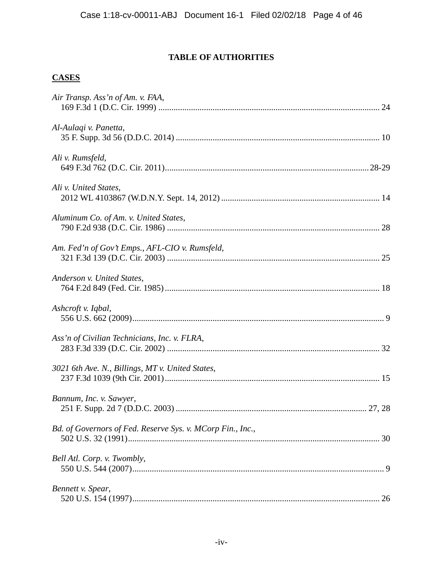# **TABLE OF AUTHORITIES**

# **CASES**

| Air Transp. Ass'n of Am. v. FAA,                                 |
|------------------------------------------------------------------|
| Al-Aulaqi v. Panetta,                                            |
| Ali v. Rumsfeld,                                                 |
| Ali v. United States,                                            |
| Aluminum Co. of Am. v. United States,                            |
| Am. Fed'n of Gov't Emps., AFL-CIO v. Rumsfeld,                   |
| Anderson v. United States,                                       |
| Ashcroft v. Iqbal,                                               |
| Ass'n of Civilian Technicians, Inc. v. FLRA,                     |
| 3021 6th Ave. N., Billings, MT v. United States,                 |
| Bannum, Inc. v. Sawyer,                                          |
| Bd. of Governors of Fed. Reserve Sys. v. MCorp Fin., Inc.,<br>30 |
| Bell Atl. Corp. v. Twombly,                                      |
| Bennett v. Spear,                                                |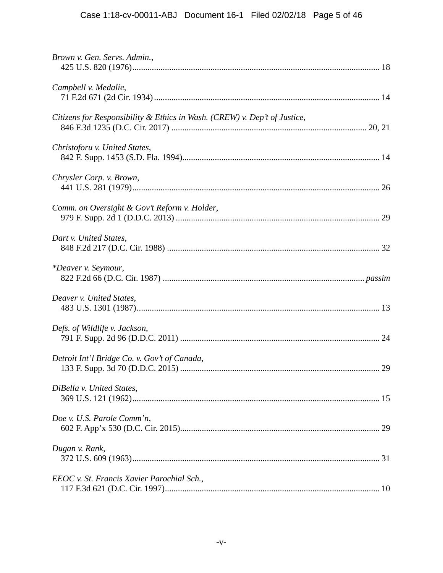| Brown v. Gen. Servs. Admin.,                                              |
|---------------------------------------------------------------------------|
| Campbell v. Medalie,                                                      |
| Citizens for Responsibility & Ethics in Wash. (CREW) v. Dep't of Justice, |
| Christoforu v. United States,                                             |
| Chrysler Corp. v. Brown,                                                  |
| Comm. on Oversight & Gov't Reform v. Holder,                              |
| Dart v. United States,                                                    |
| *Deaver v. Seymour,                                                       |
| Deaver v. United States,                                                  |
| Defs. of Wildlife v. Jackson,                                             |
| Detroit Int'l Bridge Co. v. Gov't of Canada,                              |
| DiBella v. United States,                                                 |
| Doe v. U.S. Parole Comm'n,                                                |
| Dugan v. Rank,                                                            |
| EEOC v. St. Francis Xavier Parochial Sch.,                                |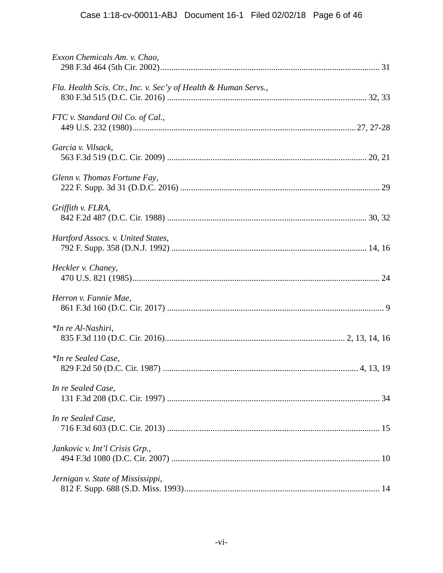| Exxon Chemicals Am. v. Chao,                                    |
|-----------------------------------------------------------------|
| Fla. Health Scis. Ctr., Inc. v. Sec'y of Health & Human Servs., |
| FTC v. Standard Oil Co. of Cal.,                                |
| Garcia v. Vilsack,                                              |
| Glenn v. Thomas Fortune Fay,                                    |
| Griffith v. FLRA,                                               |
| Hartford Assocs. v. United States,                              |
| Heckler v. Chaney,                                              |
| Herron v. Fannie Mae,                                           |
| *In re Al-Nashiri,                                              |
| *In re Sealed Case,                                             |
| In re Sealed Case,                                              |
| In re Sealed Case,                                              |
| Jankovic v. Int'l Crisis Grp.,                                  |
| Jernigan v. State of Mississippi,                               |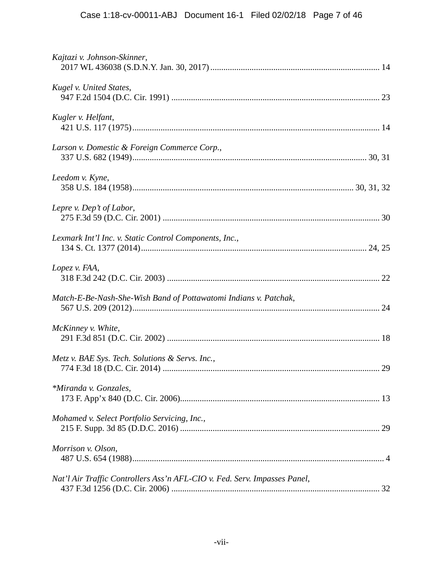| Kajtazi v. Johnson-Skinner,                                               |  |
|---------------------------------------------------------------------------|--|
| Kugel v. United States,                                                   |  |
| Kugler v. Helfant,                                                        |  |
| Larson v. Domestic & Foreign Commerce Corp.,                              |  |
| Leedom v. Kyne,                                                           |  |
| Lepre v. Dep't of Labor,                                                  |  |
| Lexmark Int'l Inc. v. Static Control Components, Inc.,                    |  |
| Lopez v. FAA,                                                             |  |
| Match-E-Be-Nash-She-Wish Band of Pottawatomi Indians v. Patchak,          |  |
| McKinney v. White,                                                        |  |
| Metz v. BAE Sys. Tech. Solutions & Servs. Inc.,                           |  |
| *Miranda v. Gonzales,                                                     |  |
| Mohamed v. Select Portfolio Servicing, Inc.,                              |  |
| Morrison v. Olson,                                                        |  |
| Nat'l Air Traffic Controllers Ass'n AFL-CIO v. Fed. Serv. Impasses Panel, |  |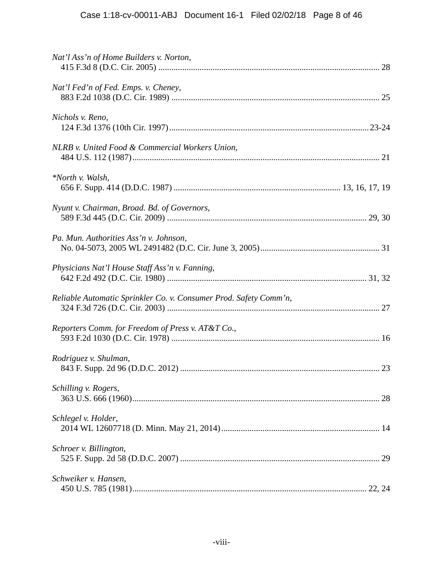| Nat'l Ass'n of Home Builders v. Norton,                           |  |
|-------------------------------------------------------------------|--|
| Nat'l Fed'n of Fed. Emps. v. Cheney,                              |  |
| Nichols v. Reno,                                                  |  |
| NLRB v. United Food & Commercial Workers Union,                   |  |
| *North v. Walsh,                                                  |  |
| Nyunt v. Chairman, Broad. Bd. of Governors,                       |  |
| Pa. Mun. Authorities Ass'n v. Johnson,                            |  |
| Physicians Nat'l House Staff Ass'n v. Fanning,                    |  |
| Reliable Automatic Sprinkler Co. v. Consumer Prod. Safety Comm'n, |  |
| Reporters Comm. for Freedom of Press v. AT&T Co.,                 |  |
| Rodriguez v. Shulman,                                             |  |
| Schilling v. Rogers,                                              |  |
| Schlegel v. Holder,                                               |  |
| Schroer v. Billington,                                            |  |
| Schweiker v. Hansen,                                              |  |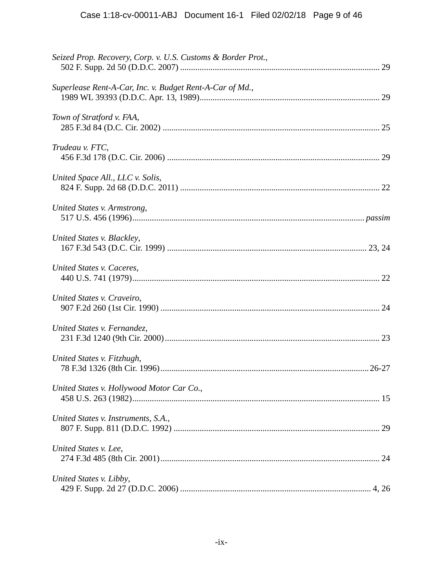| Seized Prop. Recovery, Corp. v. U.S. Customs & Border Prot., |
|--------------------------------------------------------------|
| Superlease Rent-A-Car, Inc. v. Budget Rent-A-Car of Md.,     |
| Town of Stratford v. FAA,                                    |
| Trudeau v. FTC,                                              |
| United Space All., LLC v. Solis,                             |
| United States v. Armstrong,                                  |
| United States v. Blackley,                                   |
| United States v. Caceres,                                    |
| United States v. Craveiro,                                   |
| United States v. Fernandez,                                  |
| United States v. Fitzhugh,                                   |
| United States v. Hollywood Motor Car Co.,                    |
| United States v. Instruments, S.A.,                          |
| United States v. Lee,                                        |
| United States v. Libby,                                      |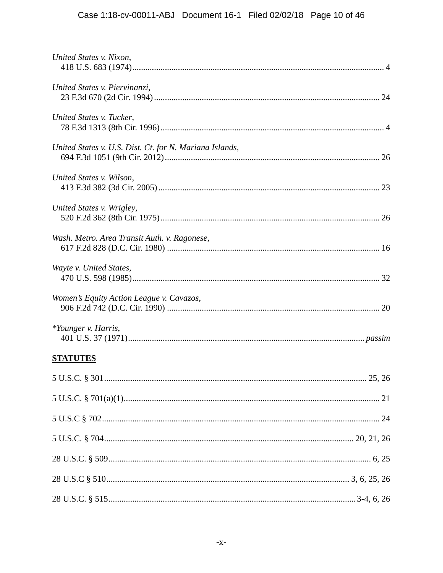| United States v. Nixon,                                 |  |
|---------------------------------------------------------|--|
| United States v. Piervinanzi,                           |  |
| United States v. Tucker,                                |  |
| United States v. U.S. Dist. Ct. for N. Mariana Islands, |  |
| United States v. Wilson,                                |  |
| United States v. Wrigley,                               |  |
| Wash. Metro. Area Transit Auth. v. Ragonese,            |  |
| Wayte v. United States,                                 |  |
| Women's Equity Action League v. Cavazos,                |  |
| *Younger v. Harris,                                     |  |
| <b>STATUTES</b>                                         |  |
|                                                         |  |
|                                                         |  |
|                                                         |  |
|                                                         |  |
|                                                         |  |
|                                                         |  |
|                                                         |  |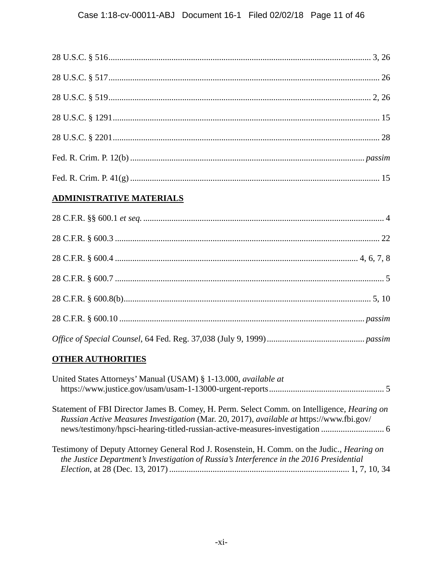## **ADMINISTRATIVE MATERIALS**

# **OTHER AUTHORITIES**

| United States Attorneys' Manual (USAM) § 1-13.000, available at                                                                                                                               |  |
|-----------------------------------------------------------------------------------------------------------------------------------------------------------------------------------------------|--|
| Statement of FBI Director James B. Comey, H. Perm. Select Comm. on Intelligence, Hearing on<br>Russian Active Measures Investigation (Mar. 20, 2017), available at https://www.fbi.gov/       |  |
| Testimony of Deputy Attorney General Rod J. Rosenstein, H. Comm. on the Judic., <i>Hearing on</i><br>the Justice Department's Investigation of Russia's Interference in the 2016 Presidential |  |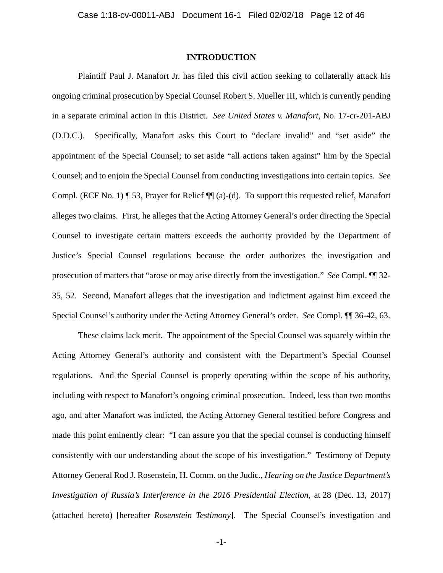### **INTRODUCTION**

Plaintiff Paul J. Manafort Jr. has filed this civil action seeking to collaterally attack his ongoing criminal prosecution by Special Counsel Robert S. Mueller III, which is currently pending in a separate criminal action in this District. *See United States v. Manafort*, No. 17-cr-201-ABJ (D.D.C.). Specifically, Manafort asks this Court to "declare invalid" and "set aside" the appointment of the Special Counsel; to set aside "all actions taken against" him by the Special Counsel; and to enjoin the Special Counsel from conducting investigations into certain topics. *See*  Compl. (ECF No. 1) ¶ 53, Prayer for Relief ¶¶ (a)-(d). To support this requested relief, Manafort alleges two claims. First, he alleges that the Acting Attorney General's order directing the Special Counsel to investigate certain matters exceeds the authority provided by the Department of Justice's Special Counsel regulations because the order authorizes the investigation and prosecution of matters that "arose or may arise directly from the investigation." *See* Compl. ¶¶ 32- 35, 52. Second, Manafort alleges that the investigation and indictment against him exceed the Special Counsel's authority under the Acting Attorney General's order. *See* Compl. ¶¶ 36-42, 63.

These claims lack merit. The appointment of the Special Counsel was squarely within the Acting Attorney General's authority and consistent with the Department's Special Counsel regulations. And the Special Counsel is properly operating within the scope of his authority, including with respect to Manafort's ongoing criminal prosecution. Indeed, less than two months ago, and after Manafort was indicted, the Acting Attorney General testified before Congress and made this point eminently clear: "I can assure you that the special counsel is conducting himself consistently with our understanding about the scope of his investigation." Testimony of Deputy Attorney General Rod J. Rosenstein, H. Comm. on the Judic., *Hearing on the Justice Department's Investigation of Russia's Interference in the 2016 Presidential Election*, at 28 (Dec. 13, 2017) (attached hereto) [hereafter *Rosenstein Testimony*]. The Special Counsel's investigation and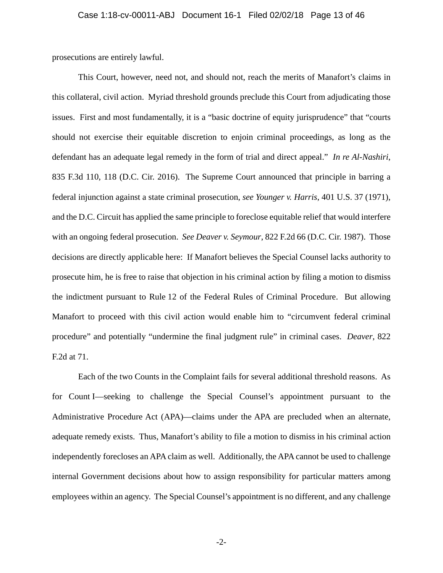prosecutions are entirely lawful.

This Court, however, need not, and should not, reach the merits of Manafort's claims in this collateral, civil action. Myriad threshold grounds preclude this Court from adjudicating those issues. First and most fundamentally, it is a "basic doctrine of equity jurisprudence" that "courts should not exercise their equitable discretion to enjoin criminal proceedings, as long as the defendant has an adequate legal remedy in the form of trial and direct appeal." *In re Al-Nashiri*, 835 F.3d 110, 118 (D.C. Cir. 2016). The Supreme Court announced that principle in barring a federal injunction against a state criminal prosecution, *see Younger v. Harris*, 401 U.S. 37 (1971), and the D.C. Circuit has applied the same principle to foreclose equitable relief that would interfere with an ongoing federal prosecution. *See Deaver v. Seymour*, 822 F.2d 66 (D.C. Cir. 1987). Those decisions are directly applicable here: If Manafort believes the Special Counsel lacks authority to prosecute him, he is free to raise that objection in his criminal action by filing a motion to dismiss the indictment pursuant to Rule 12 of the Federal Rules of Criminal Procedure. But allowing Manafort to proceed with this civil action would enable him to "circumvent federal criminal procedure" and potentially "undermine the final judgment rule" in criminal cases. *Deaver*, 822 F.2d at 71.

Each of the two Counts in the Complaint fails for several additional threshold reasons. As for Count I—seeking to challenge the Special Counsel's appointment pursuant to the Administrative Procedure Act (APA)—claims under the APA are precluded when an alternate, adequate remedy exists. Thus, Manafort's ability to file a motion to dismiss in his criminal action independently forecloses an APA claim as well. Additionally, the APA cannot be used to challenge internal Government decisions about how to assign responsibility for particular matters among employees within an agency. The Special Counsel's appointment is no different, and any challenge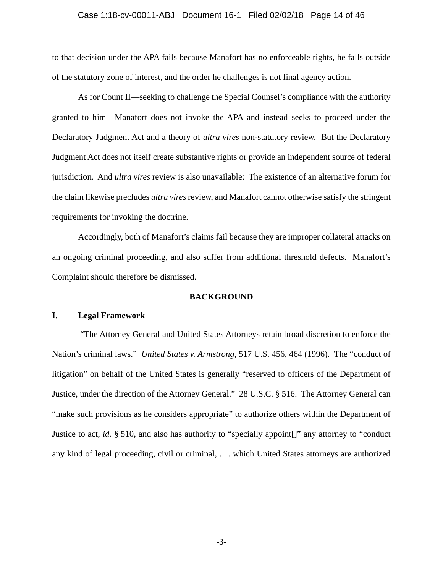### Case 1:18-cv-00011-ABJ Document 16-1 Filed 02/02/18 Page 14 of 46

to that decision under the APA fails because Manafort has no enforceable rights, he falls outside of the statutory zone of interest, and the order he challenges is not final agency action.

As for Count II—seeking to challenge the Special Counsel's compliance with the authority granted to him—Manafort does not invoke the APA and instead seeks to proceed under the Declaratory Judgment Act and a theory of *ultra vires* non-statutory review. But the Declaratory Judgment Act does not itself create substantive rights or provide an independent source of federal jurisdiction. And *ultra vires* review is also unavailable: The existence of an alternative forum for the claim likewise precludes *ultra vires* review, and Manafort cannot otherwise satisfy the stringent requirements for invoking the doctrine.

Accordingly, both of Manafort's claims fail because they are improper collateral attacks on an ongoing criminal proceeding, and also suffer from additional threshold defects. Manafort's Complaint should therefore be dismissed.

### **BACKGROUND**

### **I. Legal Framework**

 "The Attorney General and United States Attorneys retain broad discretion to enforce the Nation's criminal laws." *United States v. Armstrong*, 517 U.S. 456, 464 (1996). The "conduct of litigation" on behalf of the United States is generally "reserved to officers of the Department of Justice, under the direction of the Attorney General." 28 U.S.C. § 516. The Attorney General can "make such provisions as he considers appropriate" to authorize others within the Department of Justice to act, *id.* § 510, and also has authority to "specially appoint[]" any attorney to "conduct any kind of legal proceeding, civil or criminal, . . . which United States attorneys are authorized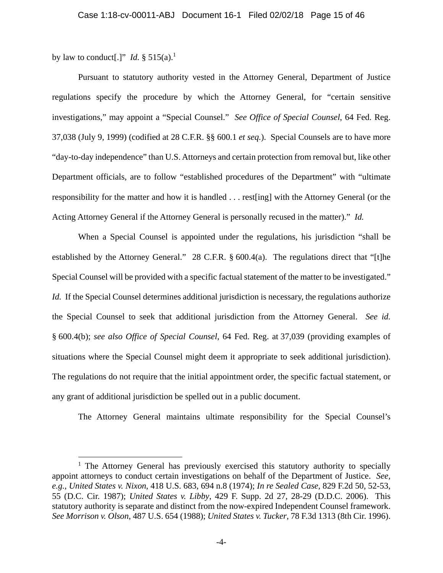by law to conduct[.]" *Id.*  $\S 515(a)$ .<sup>1</sup>

 $\overline{a}$ 

Pursuant to statutory authority vested in the Attorney General, Department of Justice regulations specify the procedure by which the Attorney General, for "certain sensitive investigations," may appoint a "Special Counsel." *See Office of Special Counsel*, 64 Fed. Reg. 37,038 (July 9, 1999) (codified at 28 C.F.R. §§ 600.1 *et seq.*). Special Counsels are to have more "day-to-day independence" than U.S. Attorneys and certain protection from removal but, like other Department officials, are to follow "established procedures of the Department" with "ultimate responsibility for the matter and how it is handled . . . rest[ing] with the Attorney General (or the Acting Attorney General if the Attorney General is personally recused in the matter)." *Id.*

When a Special Counsel is appointed under the regulations, his jurisdiction "shall be established by the Attorney General." 28 C.F.R. § 600.4(a). The regulations direct that "[t]he Special Counsel will be provided with a specific factual statement of the matter to be investigated." *Id.* If the Special Counsel determines additional jurisdiction is necessary, the regulations authorize the Special Counsel to seek that additional jurisdiction from the Attorney General. *See id.*  § 600.4(b); *see also Office of Special Counsel*, 64 Fed. Reg. at 37,039 (providing examples of situations where the Special Counsel might deem it appropriate to seek additional jurisdiction). The regulations do not require that the initial appointment order, the specific factual statement, or any grant of additional jurisdiction be spelled out in a public document.

The Attorney General maintains ultimate responsibility for the Special Counsel's

<sup>&</sup>lt;sup>1</sup> The Attorney General has previously exercised this statutory authority to specially appoint attorneys to conduct certain investigations on behalf of the Department of Justice. *See, e.g.*, *United States v. Nixon*, 418 U.S. 683, 694 n.8 (1974); *In re Sealed Case*, 829 F.2d 50, 52-53, 55 (D.C. Cir. 1987); *United States v. Libby*, 429 F. Supp. 2d 27, 28-29 (D.D.C. 2006). This statutory authority is separate and distinct from the now-expired Independent Counsel framework. *See Morrison v. Olson*, 487 U.S. 654 (1988); *United States v. Tucker*, 78 F.3d 1313 (8th Cir. 1996).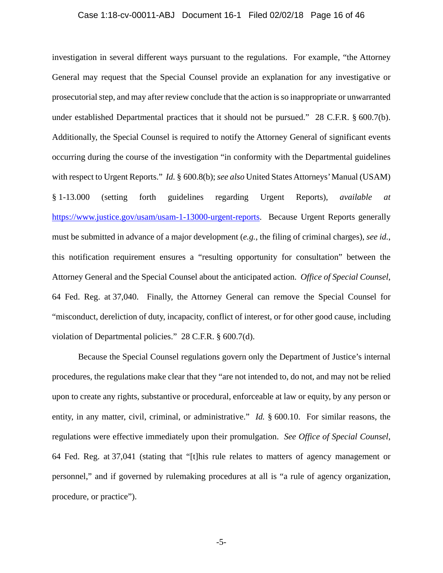#### Case 1:18-cv-00011-ABJ Document 16-1 Filed 02/02/18 Page 16 of 46

investigation in several different ways pursuant to the regulations. For example, "the Attorney General may request that the Special Counsel provide an explanation for any investigative or prosecutorial step, and may after review conclude that the action is so inappropriate or unwarranted under established Departmental practices that it should not be pursued." 28 C.F.R. § 600.7(b). Additionally, the Special Counsel is required to notify the Attorney General of significant events occurring during the course of the investigation "in conformity with the Departmental guidelines with respect to Urgent Reports." *Id.* § 600.8(b); *see also* United States Attorneys' Manual (USAM) § 1-13.000 (setting forth guidelines regarding Urgent Reports), *available at* https://www.justice.gov/usam/usam-1-13000-urgent-reports. Because Urgent Reports generally must be submitted in advance of a major development (*e.g.*, the filing of criminal charges), *see id.*, this notification requirement ensures a "resulting opportunity for consultation" between the Attorney General and the Special Counsel about the anticipated action. *Office of Special Counsel*, 64 Fed. Reg. at 37,040. Finally, the Attorney General can remove the Special Counsel for "misconduct, dereliction of duty, incapacity, conflict of interest, or for other good cause, including violation of Departmental policies." 28 C.F.R. § 600.7(d).

Because the Special Counsel regulations govern only the Department of Justice's internal procedures, the regulations make clear that they "are not intended to, do not, and may not be relied upon to create any rights, substantive or procedural, enforceable at law or equity, by any person or entity, in any matter, civil, criminal, or administrative." *Id.* § 600.10. For similar reasons, the regulations were effective immediately upon their promulgation. *See Office of Special Counsel*, 64 Fed. Reg. at 37,041 (stating that "[t]his rule relates to matters of agency management or personnel," and if governed by rulemaking procedures at all is "a rule of agency organization, procedure, or practice").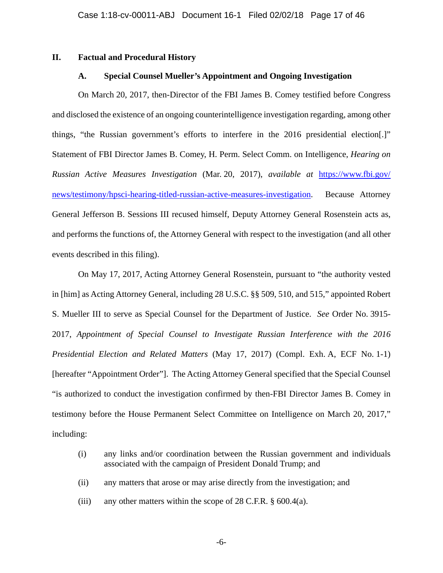### **II. Factual and Procedural History**

### **A. Special Counsel Mueller's Appointment and Ongoing Investigation**

On March 20, 2017, then-Director of the FBI James B. Comey testified before Congress and disclosed the existence of an ongoing counterintelligence investigation regarding, among other things, "the Russian government's efforts to interfere in the 2016 presidential election[.]" Statement of FBI Director James B. Comey, H. Perm. Select Comm. on Intelligence, *Hearing on Russian Active Measures Investigation* (Mar. 20, 2017), *available at* https://www.fbi.gov/ news/testimony/hpsci-hearing-titled-russian-active-measures-investigation. Because Attorney General Jefferson B. Sessions III recused himself, Deputy Attorney General Rosenstein acts as, and performs the functions of, the Attorney General with respect to the investigation (and all other events described in this filing).

On May 17, 2017, Acting Attorney General Rosenstein, pursuant to "the authority vested in [him] as Acting Attorney General, including 28 U.S.C. §§ 509, 510, and 515," appointed Robert S. Mueller III to serve as Special Counsel for the Department of Justice. *See* Order No. 3915- 2017, *Appointment of Special Counsel to Investigate Russian Interference with the 2016 Presidential Election and Related Matters* (May 17, 2017) (Compl. Exh. A, ECF No. 1-1) [hereafter "Appointment Order"]. The Acting Attorney General specified that the Special Counsel "is authorized to conduct the investigation confirmed by then-FBI Director James B. Comey in testimony before the House Permanent Select Committee on Intelligence on March 20, 2017," including:

- (i) any links and/or coordination between the Russian government and individuals associated with the campaign of President Donald Trump; and
- (ii) any matters that arose or may arise directly from the investigation; and
- (iii) any other matters within the scope of  $28$  C.F.R.  $\S$  600.4(a).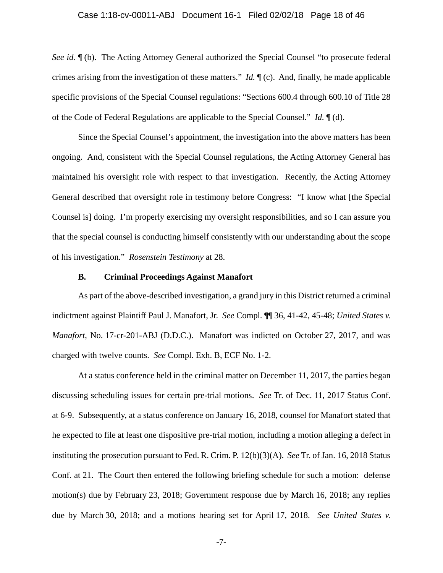### Case 1:18-cv-00011-ABJ Document 16-1 Filed 02/02/18 Page 18 of 46

*See id.* ¶ (b). The Acting Attorney General authorized the Special Counsel "to prosecute federal crimes arising from the investigation of these matters." *Id.* ¶ (c). And, finally, he made applicable specific provisions of the Special Counsel regulations: "Sections 600.4 through 600.10 of Title 28 of the Code of Federal Regulations are applicable to the Special Counsel." *Id.* ¶ (d).

Since the Special Counsel's appointment, the investigation into the above matters has been ongoing. And, consistent with the Special Counsel regulations, the Acting Attorney General has maintained his oversight role with respect to that investigation. Recently, the Acting Attorney General described that oversight role in testimony before Congress: "I know what [the Special Counsel is] doing. I'm properly exercising my oversight responsibilities, and so I can assure you that the special counsel is conducting himself consistently with our understanding about the scope of his investigation." *Rosenstein Testimony* at 28.

### **B. Criminal Proceedings Against Manafort**

As part of the above-described investigation, a grand jury in this District returned a criminal indictment against Plaintiff Paul J. Manafort, Jr. *See* Compl. ¶¶ 36, 41-42, 45-48; *United States v. Manafort*, No. 17-cr-201-ABJ (D.D.C.). Manafort was indicted on October 27, 2017, and was charged with twelve counts. *See* Compl. Exh. B, ECF No. 1-2.

At a status conference held in the criminal matter on December 11, 2017, the parties began discussing scheduling issues for certain pre-trial motions. *See* Tr. of Dec. 11, 2017 Status Conf. at 6-9. Subsequently, at a status conference on January 16, 2018, counsel for Manafort stated that he expected to file at least one dispositive pre-trial motion, including a motion alleging a defect in instituting the prosecution pursuant to Fed. R. Crim. P. 12(b)(3)(A). *See* Tr. of Jan. 16, 2018 Status Conf. at 21. The Court then entered the following briefing schedule for such a motion: defense motion(s) due by February 23, 2018; Government response due by March 16, 2018; any replies due by March 30, 2018; and a motions hearing set for April 17, 2018. *See United States v.*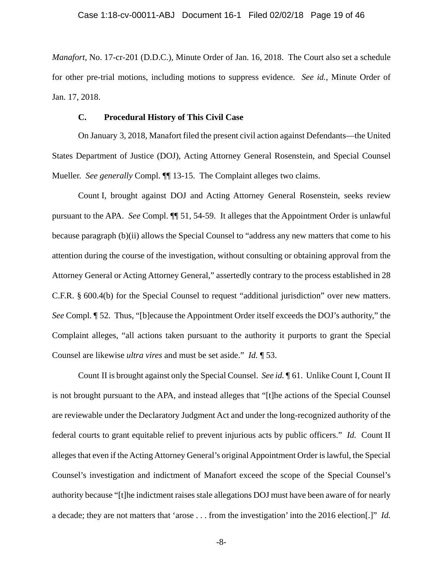*Manafort*, No. 17-cr-201 (D.D.C.), Minute Order of Jan. 16, 2018. The Court also set a schedule for other pre-trial motions, including motions to suppress evidence. *See id.*, Minute Order of Jan. 17, 2018.

### **C. Procedural History of This Civil Case**

On January 3, 2018, Manafort filed the present civil action against Defendants—the United States Department of Justice (DOJ), Acting Attorney General Rosenstein, and Special Counsel Mueller. *See generally* Compl. ¶¶ 13-15. The Complaint alleges two claims.

Count I, brought against DOJ and Acting Attorney General Rosenstein, seeks review pursuant to the APA. *See* Compl. ¶¶ 51, 54-59. It alleges that the Appointment Order is unlawful because paragraph (b)(ii) allows the Special Counsel to "address any new matters that come to his attention during the course of the investigation, without consulting or obtaining approval from the Attorney General or Acting Attorney General," assertedly contrary to the process established in 28 C.F.R. § 600.4(b) for the Special Counsel to request "additional jurisdiction" over new matters. *See* Compl. ¶ 52. Thus, "[b]ecause the Appointment Order itself exceeds the DOJ's authority," the Complaint alleges, "all actions taken pursuant to the authority it purports to grant the Special Counsel are likewise *ultra vires* and must be set aside." *Id.* ¶ 53.

Count II is brought against only the Special Counsel. *See id.* ¶ 61. Unlike Count I, Count II is not brought pursuant to the APA, and instead alleges that "[t]he actions of the Special Counsel are reviewable under the Declaratory Judgment Act and under the long-recognized authority of the federal courts to grant equitable relief to prevent injurious acts by public officers." *Id.* Count II alleges that even if the Acting Attorney General's original Appointment Order is lawful, the Special Counsel's investigation and indictment of Manafort exceed the scope of the Special Counsel's authority because "[t]he indictment raises stale allegations DOJ must have been aware of for nearly a decade; they are not matters that 'arose . . . from the investigation' into the 2016 election[.]" *Id.*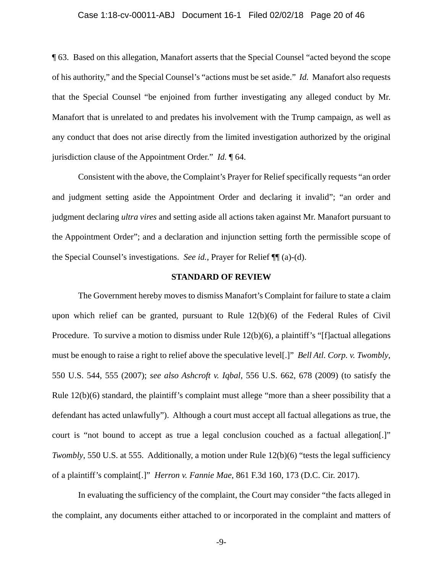### Case 1:18-cv-00011-ABJ Document 16-1 Filed 02/02/18 Page 20 of 46

¶ 63. Based on this allegation, Manafort asserts that the Special Counsel "acted beyond the scope of his authority," and the Special Counsel's "actions must be set aside." *Id.* Manafort also requests that the Special Counsel "be enjoined from further investigating any alleged conduct by Mr. Manafort that is unrelated to and predates his involvement with the Trump campaign, as well as any conduct that does not arise directly from the limited investigation authorized by the original jurisdiction clause of the Appointment Order." *Id.* ¶ 64.

Consistent with the above, the Complaint's Prayer for Relief specifically requests "an order and judgment setting aside the Appointment Order and declaring it invalid"; "an order and judgment declaring *ultra vires* and setting aside all actions taken against Mr. Manafort pursuant to the Appointment Order"; and a declaration and injunction setting forth the permissible scope of the Special Counsel's investigations. *See id.*, Prayer for Relief ¶¶ (a)-(d).

### **STANDARD OF REVIEW**

The Government hereby moves to dismiss Manafort's Complaint for failure to state a claim upon which relief can be granted, pursuant to Rule 12(b)(6) of the Federal Rules of Civil Procedure. To survive a motion to dismiss under Rule 12(b)(6), a plaintiff's "[f]actual allegations must be enough to raise a right to relief above the speculative level[.]" *Bell Atl. Corp. v. Twombly*, 550 U.S. 544, 555 (2007); *see also Ashcroft v. Iqbal*, 556 U.S. 662, 678 (2009) (to satisfy the Rule  $12(b)(6)$  standard, the plaintiff's complaint must allege "more than a sheer possibility that a defendant has acted unlawfully"). Although a court must accept all factual allegations as true, the court is "not bound to accept as true a legal conclusion couched as a factual allegation[.]" *Twombly*, 550 U.S. at 555. Additionally, a motion under Rule 12(b)(6) "tests the legal sufficiency of a plaintiff's complaint[.]" *Herron v. Fannie Mae*, 861 F.3d 160, 173 (D.C. Cir. 2017).

In evaluating the sufficiency of the complaint, the Court may consider "the facts alleged in the complaint, any documents either attached to or incorporated in the complaint and matters of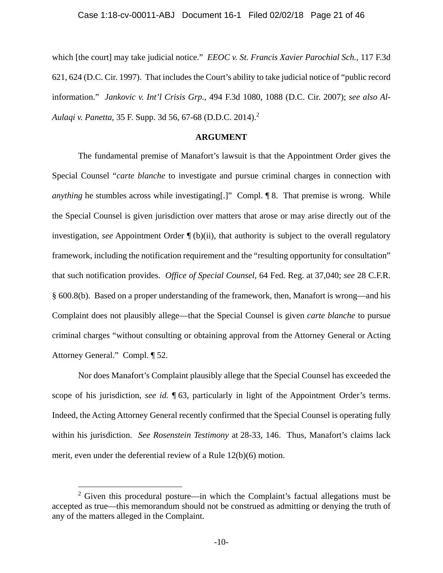which [the court] may take judicial notice." *EEOC v. St. Francis Xavier Parochial Sch.*, 117 F.3d 621, 624 (D.C. Cir. 1997). That includes the Court's ability to take judicial notice of "public record information." *Jankovic v. Int'l Crisis Grp.*, 494 F.3d 1080, 1088 (D.C. Cir. 2007); *see also Al-Aulaqi v. Panetta*, 35 F. Supp. 3d 56, 67-68 (D.D.C. 2014).<sup>2</sup>

### **ARGUMENT**

The fundamental premise of Manafort's lawsuit is that the Appointment Order gives the Special Counsel "*carte blanche* to investigate and pursue criminal charges in connection with *anything* he stumbles across while investigating[.]" Compl. 18. That premise is wrong. While the Special Counsel is given jurisdiction over matters that arose or may arise directly out of the investigation, *see* Appointment Order ¶ (b)(ii), that authority is subject to the overall regulatory framework, including the notification requirement and the "resulting opportunity for consultation" that such notification provides. *Office of Special Counsel*, 64 Fed. Reg. at 37,040; *see* 28 C.F.R. § 600.8(b). Based on a proper understanding of the framework, then, Manafort is wrong—and his Complaint does not plausibly allege—that the Special Counsel is given *carte blanche* to pursue criminal charges "without consulting or obtaining approval from the Attorney General or Acting Attorney General." Compl. ¶ 52.

Nor does Manafort's Complaint plausibly allege that the Special Counsel has exceeded the scope of his jurisdiction, *see id.* ¶ 63, particularly in light of the Appointment Order's terms. Indeed, the Acting Attorney General recently confirmed that the Special Counsel is operating fully within his jurisdiction. *See Rosenstein Testimony* at 28-33, 146. Thus, Manafort's claims lack merit, even under the deferential review of a Rule 12(b)(6) motion.

1

<sup>&</sup>lt;sup>2</sup> Given this procedural posture—in which the Complaint's factual allegations must be accepted as true—this memorandum should not be construed as admitting or denying the truth of any of the matters alleged in the Complaint.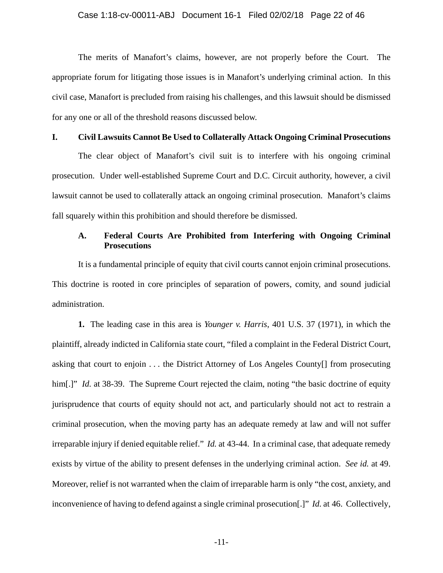The merits of Manafort's claims, however, are not properly before the Court. The appropriate forum for litigating those issues is in Manafort's underlying criminal action. In this civil case, Manafort is precluded from raising his challenges, and this lawsuit should be dismissed for any one or all of the threshold reasons discussed below.

### **I. Civil Lawsuits Cannot Be Used to Collaterally Attack Ongoing Criminal Prosecutions**

The clear object of Manafort's civil suit is to interfere with his ongoing criminal prosecution. Under well-established Supreme Court and D.C. Circuit authority, however, a civil lawsuit cannot be used to collaterally attack an ongoing criminal prosecution. Manafort's claims fall squarely within this prohibition and should therefore be dismissed.

### **A. Federal Courts Are Prohibited from Interfering with Ongoing Criminal Prosecutions**

It is a fundamental principle of equity that civil courts cannot enjoin criminal prosecutions. This doctrine is rooted in core principles of separation of powers, comity, and sound judicial administration.

**1.** The leading case in this area is *Younger v. Harris*, 401 U.S. 37 (1971), in which the plaintiff, already indicted in California state court, "filed a complaint in the Federal District Court, asking that court to enjoin . . . the District Attorney of Los Angeles County[] from prosecuting him[.]" *Id.* at 38-39. The Supreme Court rejected the claim, noting "the basic doctrine of equity jurisprudence that courts of equity should not act, and particularly should not act to restrain a criminal prosecution, when the moving party has an adequate remedy at law and will not suffer irreparable injury if denied equitable relief." *Id.* at 43-44. In a criminal case, that adequate remedy exists by virtue of the ability to present defenses in the underlying criminal action. *See id.* at 49. Moreover, relief is not warranted when the claim of irreparable harm is only "the cost, anxiety, and inconvenience of having to defend against a single criminal prosecution[.]" *Id.* at 46. Collectively,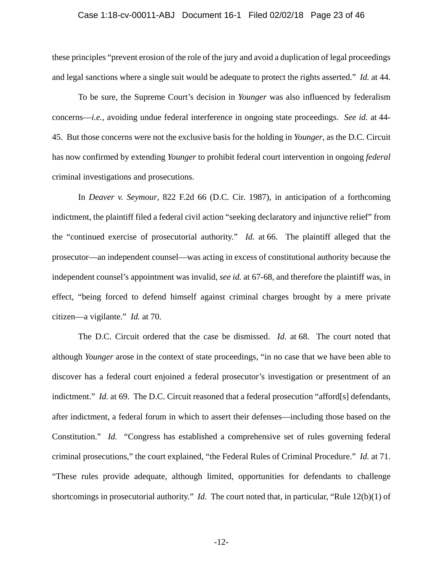### Case 1:18-cv-00011-ABJ Document 16-1 Filed 02/02/18 Page 23 of 46

these principles "prevent erosion of the role of the jury and avoid a duplication of legal proceedings and legal sanctions where a single suit would be adequate to protect the rights asserted." *Id.* at 44.

To be sure, the Supreme Court's decision in *Younger* was also influenced by federalism concerns—*i.e.*, avoiding undue federal interference in ongoing state proceedings. *See id.* at 44- 45. But those concerns were not the exclusive basis for the holding in *Younger*, as the D.C. Circuit has now confirmed by extending *Younger* to prohibit federal court intervention in ongoing *federal* criminal investigations and prosecutions.

In *Deaver v. Seymour*, 822 F.2d 66 (D.C. Cir. 1987), in anticipation of a forthcoming indictment, the plaintiff filed a federal civil action "seeking declaratory and injunctive relief" from the "continued exercise of prosecutorial authority." *Id.* at 66. The plaintiff alleged that the prosecutor—an independent counsel—was acting in excess of constitutional authority because the independent counsel's appointment was invalid, *see id.* at 67-68, and therefore the plaintiff was, in effect, "being forced to defend himself against criminal charges brought by a mere private citizen—a vigilante." *Id.* at 70.

The D.C. Circuit ordered that the case be dismissed. *Id.* at 68. The court noted that although *Younger* arose in the context of state proceedings, "in no case that we have been able to discover has a federal court enjoined a federal prosecutor's investigation or presentment of an indictment." *Id.* at 69. The D.C. Circuit reasoned that a federal prosecution "afford[s] defendants, after indictment, a federal forum in which to assert their defenses—including those based on the Constitution." *Id.* "Congress has established a comprehensive set of rules governing federal criminal prosecutions," the court explained, "the Federal Rules of Criminal Procedure." *Id.* at 71. "These rules provide adequate, although limited, opportunities for defendants to challenge shortcomings in prosecutorial authority." *Id.* The court noted that, in particular, "Rule 12(b)(1) of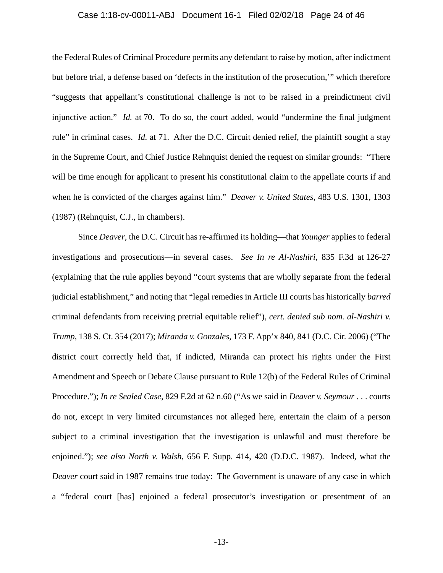#### Case 1:18-cv-00011-ABJ Document 16-1 Filed 02/02/18 Page 24 of 46

the Federal Rules of Criminal Procedure permits any defendant to raise by motion, after indictment but before trial, a defense based on 'defects in the institution of the prosecution,'" which therefore "suggests that appellant's constitutional challenge is not to be raised in a preindictment civil injunctive action." *Id.* at 70. To do so, the court added, would "undermine the final judgment rule" in criminal cases. *Id.* at 71. After the D.C. Circuit denied relief, the plaintiff sought a stay in the Supreme Court, and Chief Justice Rehnquist denied the request on similar grounds: "There will be time enough for applicant to present his constitutional claim to the appellate courts if and when he is convicted of the charges against him." *Deaver v. United States*, 483 U.S. 1301, 1303 (1987) (Rehnquist, C.J., in chambers).

Since *Deaver*, the D.C. Circuit has re-affirmed its holding—that *Younger* applies to federal investigations and prosecutions—in several cases. *See In re Al-Nashiri*, 835 F.3d at 126-27 (explaining that the rule applies beyond "court systems that are wholly separate from the federal judicial establishment," and noting that "legal remedies in Article III courts has historically *barred* criminal defendants from receiving pretrial equitable relief"), *cert. denied sub nom. al-Nashiri v. Trump*, 138 S. Ct. 354 (2017); *Miranda v. Gonzales*, 173 F. App'x 840, 841 (D.C. Cir. 2006) ("The district court correctly held that, if indicted, Miranda can protect his rights under the First Amendment and Speech or Debate Clause pursuant to Rule 12(b) of the Federal Rules of Criminal Procedure."); *In re Sealed Case*, 829 F.2d at 62 n.60 ("As we said in *Deaver v. Seymour* . . . courts do not, except in very limited circumstances not alleged here, entertain the claim of a person subject to a criminal investigation that the investigation is unlawful and must therefore be enjoined."); *see also North v. Walsh*, 656 F. Supp. 414, 420 (D.D.C. 1987). Indeed, what the *Deaver* court said in 1987 remains true today: The Government is unaware of any case in which a "federal court [has] enjoined a federal prosecutor's investigation or presentment of an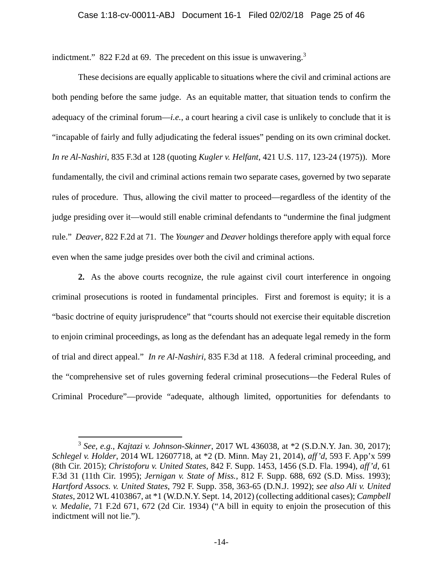indictment." 822 F.2d at 69. The precedent on this issue is unwavering. $3$ 

These decisions are equally applicable to situations where the civil and criminal actions are both pending before the same judge. As an equitable matter, that situation tends to confirm the adequacy of the criminal forum—*i.e.*, a court hearing a civil case is unlikely to conclude that it is "incapable of fairly and fully adjudicating the federal issues" pending on its own criminal docket. *In re Al-Nashiri*, 835 F.3d at 128 (quoting *Kugler v. Helfant*, 421 U.S. 117, 123-24 (1975)). More fundamentally, the civil and criminal actions remain two separate cases, governed by two separate rules of procedure. Thus, allowing the civil matter to proceed—regardless of the identity of the judge presiding over it—would still enable criminal defendants to "undermine the final judgment rule." *Deaver*, 822 F.2d at 71. The *Younger* and *Deaver* holdings therefore apply with equal force even when the same judge presides over both the civil and criminal actions.

**2.** As the above courts recognize, the rule against civil court interference in ongoing criminal prosecutions is rooted in fundamental principles. First and foremost is equity; it is a "basic doctrine of equity jurisprudence" that "courts should not exercise their equitable discretion to enjoin criminal proceedings, as long as the defendant has an adequate legal remedy in the form of trial and direct appeal." *In re Al-Nashiri*, 835 F.3d at 118. A federal criminal proceeding, and the "comprehensive set of rules governing federal criminal prosecutions—the Federal Rules of Criminal Procedure"—provide "adequate, although limited, opportunities for defendants to

 $\overline{a}$ 

<sup>3</sup> *See, e.g.*, *Kajtazi v. Johnson-Skinner*, 2017 WL 436038, at \*2 (S.D.N.Y. Jan. 30, 2017); *Schlegel v. Holder*, 2014 WL 12607718, at \*2 (D. Minn. May 21, 2014), *aff'd*, 593 F. App'x 599 (8th Cir. 2015); *Christoforu v. United States*, 842 F. Supp. 1453, 1456 (S.D. Fla. 1994), *aff'd*, 61 F.3d 31 (11th Cir. 1995); *Jernigan v. State of Miss.*, 812 F. Supp. 688, 692 (S.D. Miss. 1993); *Hartford Assocs. v. United States*, 792 F. Supp. 358, 363-65 (D.N.J. 1992); *see also Ali v. United States*, 2012 WL 4103867, at \*1 (W.D.N.Y. Sept. 14, 2012) (collecting additional cases); *Campbell v. Medalie*, 71 F.2d 671, 672 (2d Cir. 1934) ("A bill in equity to enjoin the prosecution of this indictment will not lie.").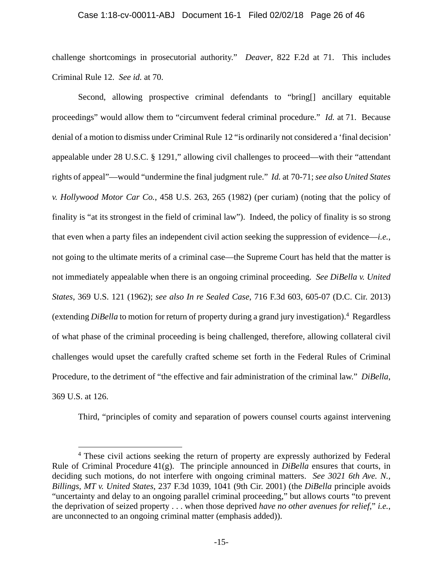### Case 1:18-cv-00011-ABJ Document 16-1 Filed 02/02/18 Page 26 of 46

challenge shortcomings in prosecutorial authority." *Deaver*, 822 F.2d at 71. This includes Criminal Rule 12. *See id.* at 70.

Second, allowing prospective criminal defendants to "bring[] ancillary equitable proceedings" would allow them to "circumvent federal criminal procedure." *Id.* at 71. Because denial of a motion to dismiss under Criminal Rule 12 "is ordinarily not considered a 'final decision' appealable under 28 U.S.C. § 1291," allowing civil challenges to proceed—with their "attendant rights of appeal"—would "undermine the final judgment rule." *Id.* at 70-71; *see also United States v. Hollywood Motor Car Co.*, 458 U.S. 263, 265 (1982) (per curiam) (noting that the policy of finality is "at its strongest in the field of criminal law"). Indeed, the policy of finality is so strong that even when a party files an independent civil action seeking the suppression of evidence—*i.e.*, not going to the ultimate merits of a criminal case—the Supreme Court has held that the matter is not immediately appealable when there is an ongoing criminal proceeding. *See DiBella v. United States*, 369 U.S. 121 (1962); *see also In re Sealed Case*, 716 F.3d 603, 605-07 (D.C. Cir. 2013) (extending *DiBella* to motion for return of property during a grand jury investigation).4 Regardless of what phase of the criminal proceeding is being challenged, therefore, allowing collateral civil challenges would upset the carefully crafted scheme set forth in the Federal Rules of Criminal Procedure, to the detriment of "the effective and fair administration of the criminal law." *DiBella*, 369 U.S. at 126.

Third, "principles of comity and separation of powers counsel courts against intervening

 $\overline{a}$ 

<sup>&</sup>lt;sup>4</sup> These civil actions seeking the return of property are expressly authorized by Federal Rule of Criminal Procedure 41(g). The principle announced in *DiBella* ensures that courts, in deciding such motions, do not interfere with ongoing criminal matters. *See 3021 6th Ave. N., Billings, MT v. United States*, 237 F.3d 1039, 1041 (9th Cir. 2001) (the *DiBella* principle avoids "uncertainty and delay to an ongoing parallel criminal proceeding," but allows courts "to prevent the deprivation of seized property . . . when those deprived *have no other avenues for relief*," *i.e.*, are unconnected to an ongoing criminal matter (emphasis added)).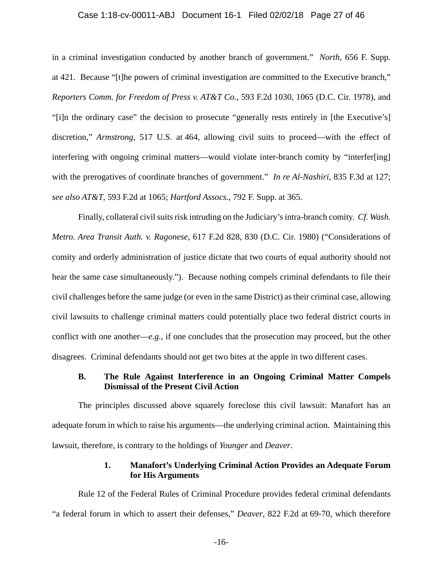#### Case 1:18-cv-00011-ABJ Document 16-1 Filed 02/02/18 Page 27 of 46

in a criminal investigation conducted by another branch of government." *North*, 656 F. Supp. at 421. Because "[t]he powers of criminal investigation are committed to the Executive branch," *Reporters Comm. for Freedom of Press v. AT&T Co.*, 593 F.2d 1030, 1065 (D.C. Cir. 1978), and "[i]n the ordinary case" the decision to prosecute "generally rests entirely in [the Executive's] discretion," *Armstrong*, 517 U.S. at 464, allowing civil suits to proceed—with the effect of interfering with ongoing criminal matters—would violate inter-branch comity by "interfer[ing] with the prerogatives of coordinate branches of government." *In re Al-Nashiri*, 835 F.3d at 127; *see also AT&T*, 593 F.2d at 1065; *Hartford Assocs.*, 792 F. Supp. at 365.

Finally, collateral civil suits risk intruding on the Judiciary's intra-branch comity. *Cf. Wash. Metro. Area Transit Auth. v. Ragonese*, 617 F.2d 828, 830 (D.C. Cir. 1980) ("Considerations of comity and orderly administration of justice dictate that two courts of equal authority should not hear the same case simultaneously."). Because nothing compels criminal defendants to file their civil challenges before the same judge (or even in the same District) as their criminal case, allowing civil lawsuits to challenge criminal matters could potentially place two federal district courts in conflict with one another—*e.g.*, if one concludes that the prosecution may proceed, but the other disagrees. Criminal defendants should not get two bites at the apple in two different cases.

### **B. The Rule Against Interference in an Ongoing Criminal Matter Compels Dismissal of the Present Civil Action**

The principles discussed above squarely foreclose this civil lawsuit: Manafort has an adequate forum in which to raise his arguments—the underlying criminal action. Maintaining this lawsuit, therefore, is contrary to the holdings of *Younger* and *Deaver*.

### **1. Manafort's Underlying Criminal Action Provides an Adequate Forum for His Arguments**

Rule 12 of the Federal Rules of Criminal Procedure provides federal criminal defendants "a federal forum in which to assert their defenses," *Deaver*, 822 F.2d at 69-70, which therefore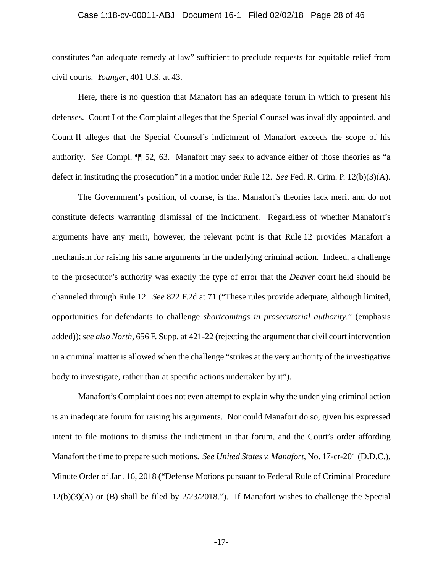#### Case 1:18-cv-00011-ABJ Document 16-1 Filed 02/02/18 Page 28 of 46

constitutes "an adequate remedy at law" sufficient to preclude requests for equitable relief from civil courts. *Younger*, 401 U.S. at 43.

Here, there is no question that Manafort has an adequate forum in which to present his defenses. Count I of the Complaint alleges that the Special Counsel was invalidly appointed, and Count II alleges that the Special Counsel's indictment of Manafort exceeds the scope of his authority. *See* Compl. ¶¶ 52, 63. Manafort may seek to advance either of those theories as "a defect in instituting the prosecution" in a motion under Rule 12. *See* Fed. R. Crim. P. 12(b)(3)(A).

The Government's position, of course, is that Manafort's theories lack merit and do not constitute defects warranting dismissal of the indictment. Regardless of whether Manafort's arguments have any merit, however, the relevant point is that Rule 12 provides Manafort a mechanism for raising his same arguments in the underlying criminal action. Indeed, a challenge to the prosecutor's authority was exactly the type of error that the *Deaver* court held should be channeled through Rule 12. *See* 822 F.2d at 71 ("These rules provide adequate, although limited, opportunities for defendants to challenge *shortcomings in prosecutorial authority*." (emphasis added)); *see also North*, 656 F. Supp. at 421-22 (rejecting the argument that civil court intervention in a criminal matter is allowed when the challenge "strikes at the very authority of the investigative body to investigate, rather than at specific actions undertaken by it").

Manafort's Complaint does not even attempt to explain why the underlying criminal action is an inadequate forum for raising his arguments. Nor could Manafort do so, given his expressed intent to file motions to dismiss the indictment in that forum, and the Court's order affording Manafort the time to prepare such motions. *See United States v. Manafort*, No. 17-cr-201 (D.D.C.), Minute Order of Jan. 16, 2018 ("Defense Motions pursuant to Federal Rule of Criminal Procedure 12(b)(3)(A) or (B) shall be filed by 2/23/2018."). If Manafort wishes to challenge the Special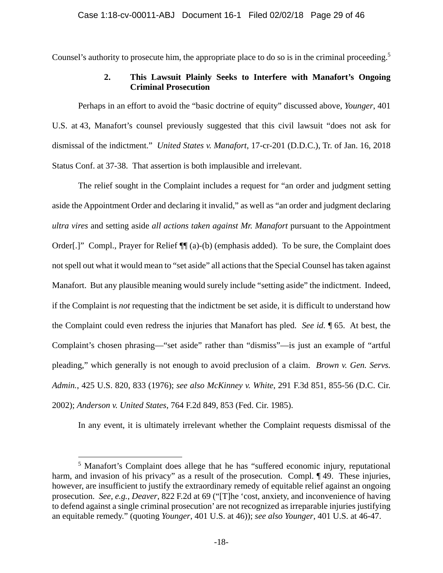Counsel's authority to prosecute him, the appropriate place to do so is in the criminal proceeding.<sup>5</sup>

### **2. This Lawsuit Plainly Seeks to Interfere with Manafort's Ongoing Criminal Prosecution**

Perhaps in an effort to avoid the "basic doctrine of equity" discussed above, *Younger*, 401 U.S. at 43, Manafort's counsel previously suggested that this civil lawsuit "does not ask for dismissal of the indictment." *United States v. Manafort*, 17-cr-201 (D.D.C.), Tr. of Jan. 16, 2018 Status Conf. at 37-38. That assertion is both implausible and irrelevant.

The relief sought in the Complaint includes a request for "an order and judgment setting aside the Appointment Order and declaring it invalid," as well as "an order and judgment declaring *ultra vires* and setting aside *all actions taken against Mr. Manafort* pursuant to the Appointment Order[.]" Compl., Prayer for Relief ¶¶ (a)-(b) (emphasis added). To be sure, the Complaint does not spell out what it would mean to "set aside" all actions that the Special Counsel has taken against Manafort. But any plausible meaning would surely include "setting aside" the indictment. Indeed, if the Complaint is *not* requesting that the indictment be set aside, it is difficult to understand how the Complaint could even redress the injuries that Manafort has pled. *See id.* ¶ 65. At best, the Complaint's chosen phrasing—"set aside" rather than "dismiss"—is just an example of "artful pleading," which generally is not enough to avoid preclusion of a claim. *Brown v. Gen. Servs. Admin.*, 425 U.S. 820, 833 (1976); *see also McKinney v. White*, 291 F.3d 851, 855-56 (D.C. Cir. 2002); *Anderson v. United States*, 764 F.2d 849, 853 (Fed. Cir. 1985).

In any event, it is ultimately irrelevant whether the Complaint requests dismissal of the

 $\overline{a}$ 

<sup>&</sup>lt;sup>5</sup> Manafort's Complaint does allege that he has "suffered economic injury, reputational harm, and invasion of his privacy" as a result of the prosecution. Compl. 149. These injuries, however, are insufficient to justify the extraordinary remedy of equitable relief against an ongoing prosecution. *See, e.g.*, *Deaver*, 822 F.2d at 69 ("[T]he 'cost, anxiety, and inconvenience of having to defend against a single criminal prosecution' are not recognized as irreparable injuries justifying an equitable remedy." (quoting *Younger*, 401 U.S. at 46)); *see also Younger*, 401 U.S. at 46-47.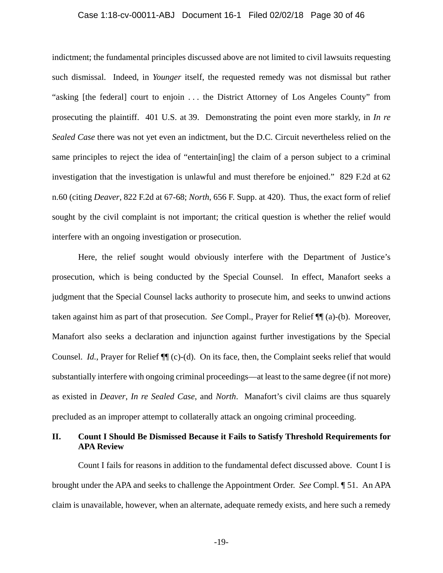### Case 1:18-cv-00011-ABJ Document 16-1 Filed 02/02/18 Page 30 of 46

indictment; the fundamental principles discussed above are not limited to civil lawsuits requesting such dismissal. Indeed, in *Younger* itself, the requested remedy was not dismissal but rather "asking [the federal] court to enjoin . . . the District Attorney of Los Angeles County" from prosecuting the plaintiff. 401 U.S. at 39. Demonstrating the point even more starkly, in *In re Sealed Case* there was not yet even an indictment, but the D.C. Circuit nevertheless relied on the same principles to reject the idea of "entertain[ing] the claim of a person subject to a criminal investigation that the investigation is unlawful and must therefore be enjoined." 829 F.2d at 62 n.60 (citing *Deaver*, 822 F.2d at 67-68; *North*, 656 F. Supp. at 420). Thus, the exact form of relief sought by the civil complaint is not important; the critical question is whether the relief would interfere with an ongoing investigation or prosecution.

Here, the relief sought would obviously interfere with the Department of Justice's prosecution, which is being conducted by the Special Counsel. In effect, Manafort seeks a judgment that the Special Counsel lacks authority to prosecute him, and seeks to unwind actions taken against him as part of that prosecution. *See* Compl., Prayer for Relief ¶¶ (a)-(b). Moreover, Manafort also seeks a declaration and injunction against further investigations by the Special Counsel. *Id.*, Prayer for Relief  $\P$  (c)-(d). On its face, then, the Complaint seeks relief that would substantially interfere with ongoing criminal proceedings—at least to the same degree (if not more) as existed in *Deaver*, *In re Sealed Case*, and *North*. Manafort's civil claims are thus squarely precluded as an improper attempt to collaterally attack an ongoing criminal proceeding.

### **II. Count I Should Be Dismissed Because it Fails to Satisfy Threshold Requirements for APA Review**

Count I fails for reasons in addition to the fundamental defect discussed above. Count I is brought under the APA and seeks to challenge the Appointment Order. *See* Compl. ¶ 51. An APA claim is unavailable, however, when an alternate, adequate remedy exists, and here such a remedy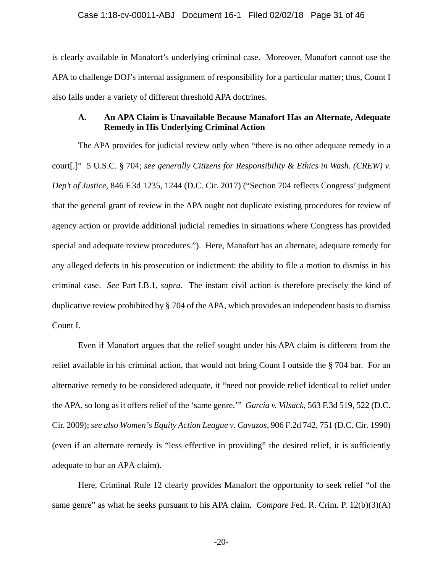is clearly available in Manafort's underlying criminal case. Moreover, Manafort cannot use the APA to challenge DOJ's internal assignment of responsibility for a particular matter; thus, Count I also fails under a variety of different threshold APA doctrines.

### **A. An APA Claim is Unavailable Because Manafort Has an Alternate, Adequate Remedy in His Underlying Criminal Action**

The APA provides for judicial review only when "there is no other adequate remedy in a court[.]" 5 U.S.C. § 704; *see generally Citizens for Responsibility & Ethics in Wash. (CREW) v. Dep't of Justice*, 846 F.3d 1235, 1244 (D.C. Cir. 2017) ("Section 704 reflects Congress' judgment that the general grant of review in the APA ought not duplicate existing procedures for review of agency action or provide additional judicial remedies in situations where Congress has provided special and adequate review procedures."). Here, Manafort has an alternate, adequate remedy for any alleged defects in his prosecution or indictment: the ability to file a motion to dismiss in his criminal case. *See* Part I.B.1, *supra*. The instant civil action is therefore precisely the kind of duplicative review prohibited by § 704 of the APA, which provides an independent basis to dismiss Count I.

Even if Manafort argues that the relief sought under his APA claim is different from the relief available in his criminal action, that would not bring Count I outside the § 704 bar. For an alternative remedy to be considered adequate, it "need not provide relief identical to relief under the APA, so long as it offers relief of the 'same genre.'" *Garcia v. Vilsack*, 563 F.3d 519, 522 (D.C. Cir. 2009); *see also Women's Equity Action League v. Cavazos*, 906 F.2d 742, 751 (D.C. Cir. 1990) (even if an alternate remedy is "less effective in providing" the desired relief, it is sufficiently adequate to bar an APA claim).

Here, Criminal Rule 12 clearly provides Manafort the opportunity to seek relief "of the same genre" as what he seeks pursuant to his APA claim. *Compare* Fed. R. Crim. P. 12(b)(3)(A)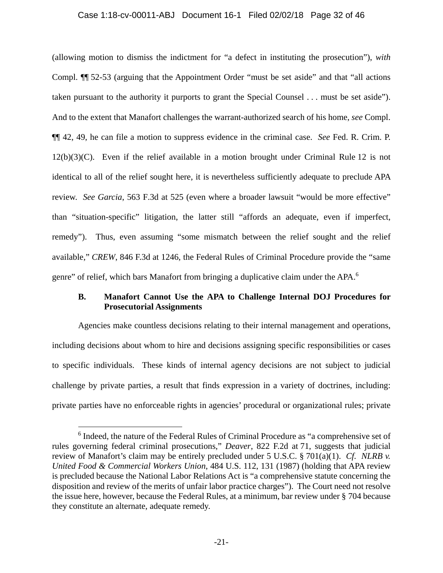### Case 1:18-cv-00011-ABJ Document 16-1 Filed 02/02/18 Page 32 of 46

(allowing motion to dismiss the indictment for "a defect in instituting the prosecution"), *with* Compl. ¶¶ 52-53 (arguing that the Appointment Order "must be set aside" and that "all actions taken pursuant to the authority it purports to grant the Special Counsel . . . must be set aside"). And to the extent that Manafort challenges the warrant-authorized search of his home, *see* Compl. ¶¶ 42, 49, he can file a motion to suppress evidence in the criminal case. *See* Fed. R. Crim. P. 12(b)(3)(C). Even if the relief available in a motion brought under Criminal Rule 12 is not identical to all of the relief sought here, it is nevertheless sufficiently adequate to preclude APA review. *See Garcia*, 563 F.3d at 525 (even where a broader lawsuit "would be more effective" than "situation-specific" litigation, the latter still "affords an adequate, even if imperfect, remedy"). Thus, even assuming "some mismatch between the relief sought and the relief available," *CREW*, 846 F.3d at 1246, the Federal Rules of Criminal Procedure provide the "same genre" of relief, which bars Manafort from bringing a duplicative claim under the APA.<sup>6</sup>

### **B. Manafort Cannot Use the APA to Challenge Internal DOJ Procedures for Prosecutorial Assignments**

Agencies make countless decisions relating to their internal management and operations, including decisions about whom to hire and decisions assigning specific responsibilities or cases to specific individuals. These kinds of internal agency decisions are not subject to judicial challenge by private parties, a result that finds expression in a variety of doctrines, including: private parties have no enforceable rights in agencies' procedural or organizational rules; private

 $\overline{a}$ 

<sup>&</sup>lt;sup>6</sup> Indeed, the nature of the Federal Rules of Criminal Procedure as "a comprehensive set of rules governing federal criminal prosecutions," *Deaver*, 822 F.2d at 71, suggests that judicial review of Manafort's claim may be entirely precluded under 5 U.S.C. § 701(a)(1). *Cf. NLRB v. United Food & Commercial Workers Union*, 484 U.S. 112, 131 (1987) (holding that APA review is precluded because the National Labor Relations Act is "a comprehensive statute concerning the disposition and review of the merits of unfair labor practice charges"). The Court need not resolve the issue here, however, because the Federal Rules, at a minimum, bar review under § 704 because they constitute an alternate, adequate remedy.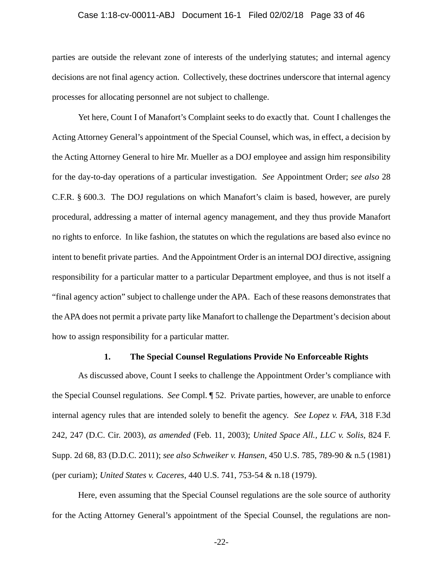### Case 1:18-cv-00011-ABJ Document 16-1 Filed 02/02/18 Page 33 of 46

parties are outside the relevant zone of interests of the underlying statutes; and internal agency decisions are not final agency action. Collectively, these doctrines underscore that internal agency processes for allocating personnel are not subject to challenge.

Yet here, Count I of Manafort's Complaint seeks to do exactly that. Count I challenges the Acting Attorney General's appointment of the Special Counsel, which was, in effect, a decision by the Acting Attorney General to hire Mr. Mueller as a DOJ employee and assign him responsibility for the day-to-day operations of a particular investigation. *See* Appointment Order; *see also* 28 C.F.R. § 600.3. The DOJ regulations on which Manafort's claim is based, however, are purely procedural, addressing a matter of internal agency management, and they thus provide Manafort no rights to enforce. In like fashion, the statutes on which the regulations are based also evince no intent to benefit private parties. And the Appointment Order is an internal DOJ directive, assigning responsibility for a particular matter to a particular Department employee, and thus is not itself a "final agency action" subject to challenge under the APA. Each of these reasons demonstrates that the APA does not permit a private party like Manafort to challenge the Department's decision about how to assign responsibility for a particular matter.

#### **1. The Special Counsel Regulations Provide No Enforceable Rights**

As discussed above, Count I seeks to challenge the Appointment Order's compliance with the Special Counsel regulations. *See* Compl. ¶ 52. Private parties, however, are unable to enforce internal agency rules that are intended solely to benefit the agency. *See Lopez v. FAA*, 318 F.3d 242, 247 (D.C. Cir. 2003), *as amended* (Feb. 11, 2003); *United Space All., LLC v. Solis*, 824 F. Supp. 2d 68, 83 (D.D.C. 2011); *see also Schweiker v. Hansen*, 450 U.S. 785, 789-90 & n.5 (1981) (per curiam); *United States v. Caceres*, 440 U.S. 741, 753-54 & n.18 (1979).

Here, even assuming that the Special Counsel regulations are the sole source of authority for the Acting Attorney General's appointment of the Special Counsel, the regulations are non-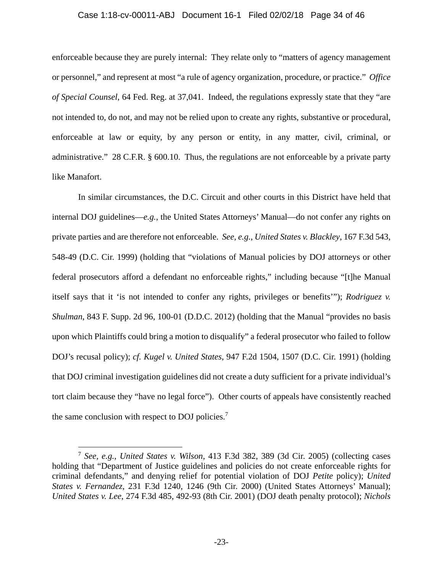### Case 1:18-cv-00011-ABJ Document 16-1 Filed 02/02/18 Page 34 of 46

enforceable because they are purely internal: They relate only to "matters of agency management or personnel," and represent at most "a rule of agency organization, procedure, or practice." *Office of Special Counsel*, 64 Fed. Reg. at 37,041. Indeed, the regulations expressly state that they "are not intended to, do not, and may not be relied upon to create any rights, substantive or procedural, enforceable at law or equity, by any person or entity, in any matter, civil, criminal, or administrative." 28 C.F.R. § 600.10. Thus, the regulations are not enforceable by a private party like Manafort.

In similar circumstances, the D.C. Circuit and other courts in this District have held that internal DOJ guidelines—*e.g.*, the United States Attorneys' Manual—do not confer any rights on private parties and are therefore not enforceable. *See, e.g.*, *United States v. Blackley*, 167 F.3d 543, 548-49 (D.C. Cir. 1999) (holding that "violations of Manual policies by DOJ attorneys or other federal prosecutors afford a defendant no enforceable rights," including because "[t]he Manual itself says that it 'is not intended to confer any rights, privileges or benefits'"); *Rodriguez v. Shulman*, 843 F. Supp. 2d 96, 100-01 (D.D.C. 2012) (holding that the Manual "provides no basis upon which Plaintiffs could bring a motion to disqualify" a federal prosecutor who failed to follow DOJ's recusal policy); *cf. Kugel v. United States*, 947 F.2d 1504, 1507 (D.C. Cir. 1991) (holding that DOJ criminal investigation guidelines did not create a duty sufficient for a private individual's tort claim because they "have no legal force"). Other courts of appeals have consistently reached the same conclusion with respect to DOJ policies.<sup>7</sup>

 $\overline{a}$ 

<sup>7</sup> *See, e.g.*, *United States v. Wilson*, 413 F.3d 382, 389 (3d Cir. 2005) (collecting cases holding that "Department of Justice guidelines and policies do not create enforceable rights for criminal defendants," and denying relief for potential violation of DOJ *Petite* policy); *United States v. Fernandez*, 231 F.3d 1240, 1246 (9th Cir. 2000) (United States Attorneys' Manual); *United States v. Lee*, 274 F.3d 485, 492-93 (8th Cir. 2001) (DOJ death penalty protocol); *Nichols*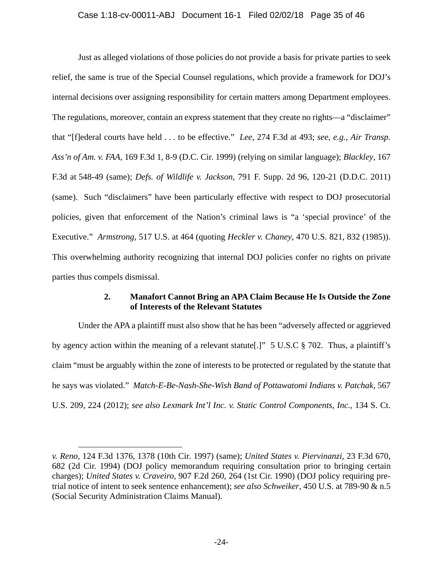Just as alleged violations of those policies do not provide a basis for private parties to seek relief, the same is true of the Special Counsel regulations, which provide a framework for DOJ's internal decisions over assigning responsibility for certain matters among Department employees. The regulations, moreover, contain an express statement that they create no rights—a "disclaimer" that "[f]ederal courts have held . . . to be effective." *Lee*, 274 F.3d at 493; *see, e.g.*, *Air Transp. Ass'n of Am. v. FAA*, 169 F.3d 1, 8-9 (D.C. Cir. 1999) (relying on similar language); *Blackley*, 167 F.3d at 548-49 (same); *Defs. of Wildlife v. Jackson*, 791 F. Supp. 2d 96, 120-21 (D.D.C. 2011) (same). Such "disclaimers" have been particularly effective with respect to DOJ prosecutorial policies, given that enforcement of the Nation's criminal laws is "a 'special province' of the Executive." *Armstrong*, 517 U.S. at 464 (quoting *Heckler v. Chaney*, 470 U.S. 821, 832 (1985)). This overwhelming authority recognizing that internal DOJ policies confer no rights on private parties thus compels dismissal.

### **2. Manafort Cannot Bring an APA Claim Because He Is Outside the Zone of Interests of the Relevant Statutes**

Under the APA a plaintiff must also show that he has been "adversely affected or aggrieved by agency action within the meaning of a relevant statute[.]" 5 U.S.C § 702. Thus, a plaintiff's claim "must be arguably within the zone of interests to be protected or regulated by the statute that he says was violated." *Match-E-Be-Nash-She-Wish Band of Pottawatomi Indians v. Patchak*, 567 U.S. 209, 224 (2012); *see also Lexmark Int'l Inc. v. Static Control Components, Inc.*, 134 S. Ct.

 $\overline{a}$ 

*v. Reno*, 124 F.3d 1376, 1378 (10th Cir. 1997) (same); *United States v. Piervinanzi*, 23 F.3d 670, 682 (2d Cir. 1994) (DOJ policy memorandum requiring consultation prior to bringing certain charges); *United States v. Craveiro*, 907 F.2d 260, 264 (1st Cir. 1990) (DOJ policy requiring pretrial notice of intent to seek sentence enhancement); *see also Schweiker*, 450 U.S. at 789-90 & n.5 (Social Security Administration Claims Manual).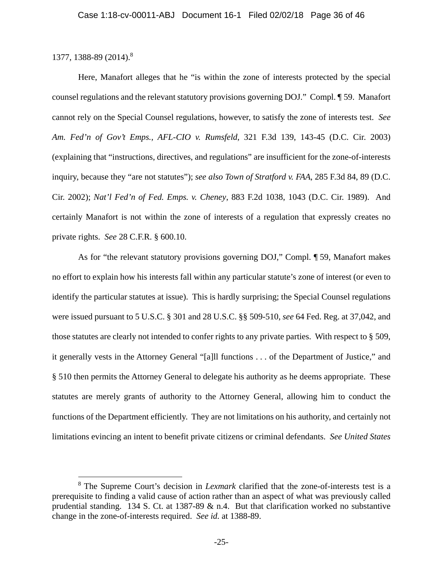### 1377, 1388-89 (2014).8

 $\overline{a}$ 

Here, Manafort alleges that he "is within the zone of interests protected by the special counsel regulations and the relevant statutory provisions governing DOJ." Compl. ¶ 59. Manafort cannot rely on the Special Counsel regulations, however, to satisfy the zone of interests test. *See Am. Fed'n of Gov't Emps., AFL-CIO v. Rumsfeld*, 321 F.3d 139, 143-45 (D.C. Cir. 2003) (explaining that "instructions, directives, and regulations" are insufficient for the zone-of-interests inquiry, because they "are not statutes"); *see also Town of Stratford v. FAA*, 285 F.3d 84, 89 (D.C. Cir. 2002); *Nat'l Fed'n of Fed. Emps. v. Cheney*, 883 F.2d 1038, 1043 (D.C. Cir. 1989). And certainly Manafort is not within the zone of interests of a regulation that expressly creates no private rights. *See* 28 C.F.R. § 600.10.

As for "the relevant statutory provisions governing DOJ," Compl. ¶ 59, Manafort makes no effort to explain how his interests fall within any particular statute's zone of interest (or even to identify the particular statutes at issue). This is hardly surprising; the Special Counsel regulations were issued pursuant to 5 U.S.C. § 301 and 28 U.S.C. §§ 509-510, *see* 64 Fed. Reg. at 37,042, and those statutes are clearly not intended to confer rights to any private parties. With respect to § 509, it generally vests in the Attorney General "[a]ll functions . . . of the Department of Justice," and § 510 then permits the Attorney General to delegate his authority as he deems appropriate. These statutes are merely grants of authority to the Attorney General, allowing him to conduct the functions of the Department efficiently. They are not limitations on his authority, and certainly not limitations evincing an intent to benefit private citizens or criminal defendants. *See United States* 

<sup>&</sup>lt;sup>8</sup> The Supreme Court's decision in *Lexmark* clarified that the zone-of-interests test is a prerequisite to finding a valid cause of action rather than an aspect of what was previously called prudential standing. 134 S. Ct. at 1387-89  $\&$  n.4. But that clarification worked no substantive change in the zone-of-interests required. *See id.* at 1388-89.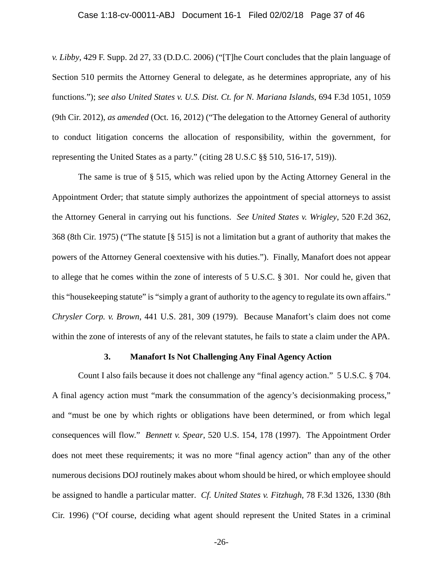### Case 1:18-cv-00011-ABJ Document 16-1 Filed 02/02/18 Page 37 of 46

*v. Libby*, 429 F. Supp. 2d 27, 33 (D.D.C. 2006) ("[T]he Court concludes that the plain language of Section 510 permits the Attorney General to delegate, as he determines appropriate, any of his functions."); *see also United States v. U.S. Dist. Ct. for N. Mariana Islands*, 694 F.3d 1051, 1059 (9th Cir. 2012), *as amended* (Oct. 16, 2012) ("The delegation to the Attorney General of authority to conduct litigation concerns the allocation of responsibility, within the government, for representing the United States as a party." (citing 28 U.S.C §§ 510, 516-17, 519)).

The same is true of § 515, which was relied upon by the Acting Attorney General in the Appointment Order; that statute simply authorizes the appointment of special attorneys to assist the Attorney General in carrying out his functions. *See United States v. Wrigley*, 520 F.2d 362, 368 (8th Cir. 1975) ("The statute [§ 515] is not a limitation but a grant of authority that makes the powers of the Attorney General coextensive with his duties."). Finally, Manafort does not appear to allege that he comes within the zone of interests of 5 U.S.C. § 301. Nor could he, given that this "housekeeping statute" is "simply a grant of authority to the agency to regulate its own affairs." *Chrysler Corp. v. Brown*, 441 U.S. 281, 309 (1979). Because Manafort's claim does not come within the zone of interests of any of the relevant statutes, he fails to state a claim under the APA.

#### **3. Manafort Is Not Challenging Any Final Agency Action**

Count I also fails because it does not challenge any "final agency action." 5 U.S.C. § 704. A final agency action must "mark the consummation of the agency's decisionmaking process," and "must be one by which rights or obligations have been determined, or from which legal consequences will flow." *Bennett v. Spear*, 520 U.S. 154, 178 (1997). The Appointment Order does not meet these requirements; it was no more "final agency action" than any of the other numerous decisions DOJ routinely makes about whom should be hired, or which employee should be assigned to handle a particular matter. *Cf. United States v. Fitzhugh*, 78 F.3d 1326, 1330 (8th Cir. 1996) ("Of course, deciding what agent should represent the United States in a criminal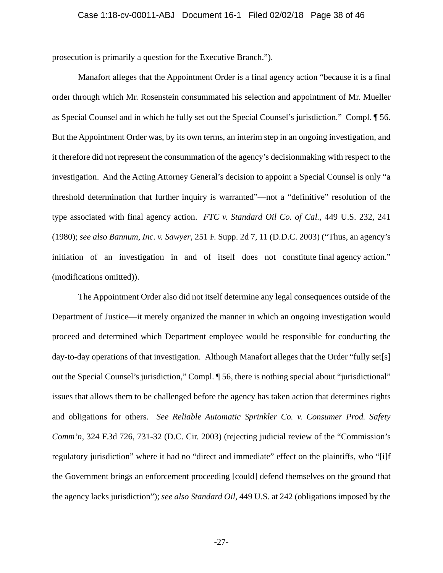prosecution is primarily a question for the Executive Branch.").

Manafort alleges that the Appointment Order is a final agency action "because it is a final order through which Mr. Rosenstein consummated his selection and appointment of Mr. Mueller as Special Counsel and in which he fully set out the Special Counsel's jurisdiction." Compl. ¶ 56. But the Appointment Order was, by its own terms, an interim step in an ongoing investigation, and it therefore did not represent the consummation of the agency's decisionmaking with respect to the investigation. And the Acting Attorney General's decision to appoint a Special Counsel is only "a threshold determination that further inquiry is warranted"—not a "definitive" resolution of the type associated with final agency action. *FTC v. Standard Oil Co. of Cal.*, 449 U.S. 232, 241 (1980); *see also Bannum, Inc. v. Sawyer*, 251 F. Supp. 2d 7, 11 (D.D.C. 2003) ("Thus, an agency's initiation of an investigation in and of itself does not constitute final agency action." (modifications omitted)).

The Appointment Order also did not itself determine any legal consequences outside of the Department of Justice—it merely organized the manner in which an ongoing investigation would proceed and determined which Department employee would be responsible for conducting the day-to-day operations of that investigation. Although Manafort alleges that the Order "fully set[s] out the Special Counsel's jurisdiction," Compl. ¶ 56, there is nothing special about "jurisdictional" issues that allows them to be challenged before the agency has taken action that determines rights and obligations for others. *See Reliable Automatic Sprinkler Co. v. Consumer Prod. Safety Comm'n*, 324 F.3d 726, 731-32 (D.C. Cir. 2003) (rejecting judicial review of the "Commission's regulatory jurisdiction" where it had no "direct and immediate" effect on the plaintiffs, who "[i]f the Government brings an enforcement proceeding [could] defend themselves on the ground that the agency lacks jurisdiction"); *see also Standard Oil*, 449 U.S. at 242 (obligations imposed by the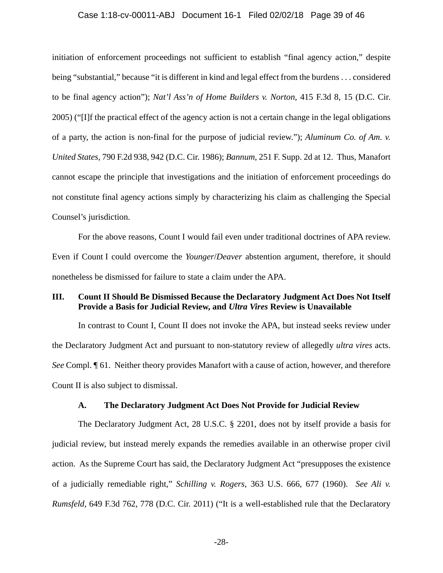### Case 1:18-cv-00011-ABJ Document 16-1 Filed 02/02/18 Page 39 of 46

initiation of enforcement proceedings not sufficient to establish "final agency action," despite being "substantial," because "it is different in kind and legal effect from the burdens . . . considered to be final agency action"); *Nat'l Ass'n of Home Builders v. Norton*, 415 F.3d 8, 15 (D.C. Cir. 2005) ("[I]f the practical effect of the agency action is not a certain change in the legal obligations of a party, the action is non-final for the purpose of judicial review."); *Aluminum Co. of Am. v. United States*, 790 F.2d 938, 942 (D.C. Cir. 1986); *Bannum*, 251 F. Supp. 2d at 12. Thus, Manafort cannot escape the principle that investigations and the initiation of enforcement proceedings do not constitute final agency actions simply by characterizing his claim as challenging the Special Counsel's jurisdiction.

For the above reasons, Count I would fail even under traditional doctrines of APA review. Even if Count I could overcome the *Younger*/*Deaver* abstention argument, therefore, it should nonetheless be dismissed for failure to state a claim under the APA.

### **III. Count II Should Be Dismissed Because the Declaratory Judgment Act Does Not Itself Provide a Basis for Judicial Review, and** *Ultra Vires* **Review is Unavailable**

In contrast to Count I, Count II does not invoke the APA, but instead seeks review under the Declaratory Judgment Act and pursuant to non-statutory review of allegedly *ultra vires* acts. *See* Compl. ¶ 61. Neither theory provides Manafort with a cause of action, however, and therefore Count II is also subject to dismissal.

### **A. The Declaratory Judgment Act Does Not Provide for Judicial Review**

The Declaratory Judgment Act, 28 U.S.C. § 2201, does not by itself provide a basis for judicial review, but instead merely expands the remedies available in an otherwise proper civil action. As the Supreme Court has said, the Declaratory Judgment Act "presupposes the existence of a judicially remediable right," *Schilling v. Rogers*, 363 U.S. 666, 677 (1960). *See Ali v. Rumsfeld*, 649 F.3d 762, 778 (D.C. Cir. 2011) ("It is a well-established rule that the Declaratory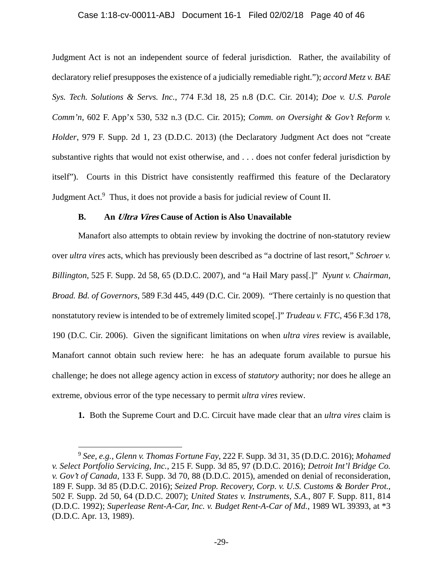### Case 1:18-cv-00011-ABJ Document 16-1 Filed 02/02/18 Page 40 of 46

Judgment Act is not an independent source of federal jurisdiction. Rather, the availability of declaratory relief presupposes the existence of a judicially remediable right."); *accord Metz v. BAE Sys. Tech. Solutions & Servs. Inc.*, 774 F.3d 18, 25 n.8 (D.C. Cir. 2014); *Doe v. U.S. Parole Comm'n*, 602 F. App'x 530, 532 n.3 (D.C. Cir. 2015); *Comm. on Oversight & Gov't Reform v. Holder*, 979 F. Supp. 2d 1, 23 (D.D.C. 2013) (the Declaratory Judgment Act does not "create substantive rights that would not exist otherwise, and . . . does not confer federal jurisdiction by itself"). Courts in this District have consistently reaffirmed this feature of the Declaratory Judgment Act.<sup>9</sup> Thus, it does not provide a basis for judicial review of Count II.

### **B. An Ultra Vires Cause of Action is Also Unavailable**

Manafort also attempts to obtain review by invoking the doctrine of non-statutory review over *ultra vires* acts, which has previously been described as "a doctrine of last resort," *Schroer v. Billington*, 525 F. Supp. 2d 58, 65 (D.D.C. 2007), and "a Hail Mary pass[.]" *Nyunt v. Chairman, Broad. Bd. of Governors*, 589 F.3d 445, 449 (D.C. Cir. 2009). "There certainly is no question that nonstatutory review is intended to be of extremely limited scope[.]" *Trudeau v. FTC*, 456 F.3d 178, 190 (D.C. Cir. 2006). Given the significant limitations on when *ultra vires* review is available, Manafort cannot obtain such review here: he has an adequate forum available to pursue his challenge; he does not allege agency action in excess of *statutory* authority; nor does he allege an extreme, obvious error of the type necessary to permit *ultra vires* review.

**1.** Both the Supreme Court and D.C. Circuit have made clear that an *ultra vires* claim is

 $\overline{a}$ 

<sup>9</sup> *See, e.g.*, *Glenn v. Thomas Fortune Fay*, 222 F. Supp. 3d 31, 35 (D.D.C. 2016); *Mohamed v. Select Portfolio Servicing, Inc.*, 215 F. Supp. 3d 85, 97 (D.D.C. 2016); *Detroit Int'l Bridge Co. v. Gov't of Canada*, 133 F. Supp. 3d 70, 88 (D.D.C. 2015), amended on denial of reconsideration, 189 F. Supp. 3d 85 (D.D.C. 2016); *Seized Prop. Recovery, Corp. v. U.S. Customs & Border Prot.*, 502 F. Supp. 2d 50, 64 (D.D.C. 2007); *United States v. Instruments, S.A.*, 807 F. Supp. 811, 814 (D.D.C. 1992); *Superlease Rent-A-Car, Inc. v. Budget Rent-A-Car of Md.*, 1989 WL 39393, at \*3 (D.D.C. Apr. 13, 1989).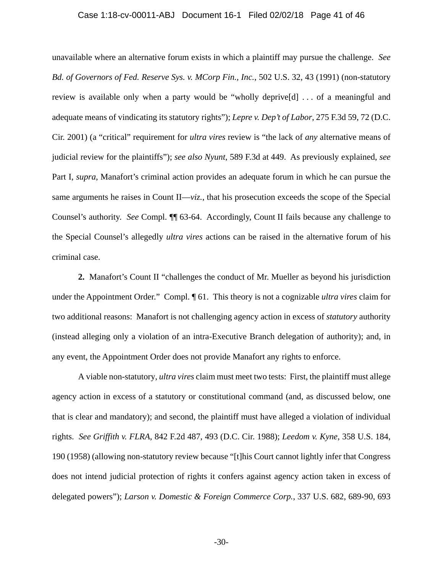#### Case 1:18-cv-00011-ABJ Document 16-1 Filed 02/02/18 Page 41 of 46

unavailable where an alternative forum exists in which a plaintiff may pursue the challenge. *See Bd. of Governors of Fed. Reserve Sys. v. MCorp Fin., Inc.*, 502 U.S. 32, 43 (1991) (non-statutory review is available only when a party would be "wholly deprive[d] . . . of a meaningful and adequate means of vindicating its statutory rights"); *Lepre v. Dep't of Labor*, 275 F.3d 59, 72 (D.C. Cir. 2001) (a "critical" requirement for *ultra vires* review is "the lack of *any* alternative means of judicial review for the plaintiffs"); *see also Nyunt*, 589 F.3d at 449. As previously explained, *see*  Part I, *supra*, Manafort's criminal action provides an adequate forum in which he can pursue the same arguments he raises in Count II—*viz.*, that his prosecution exceeds the scope of the Special Counsel's authority. *See* Compl. ¶¶ 63-64. Accordingly, Count II fails because any challenge to the Special Counsel's allegedly *ultra vires* actions can be raised in the alternative forum of his criminal case.

**2.** Manafort's Count II "challenges the conduct of Mr. Mueller as beyond his jurisdiction under the Appointment Order." Compl. ¶ 61. This theory is not a cognizable *ultra vires* claim for two additional reasons: Manafort is not challenging agency action in excess of *statutory* authority (instead alleging only a violation of an intra-Executive Branch delegation of authority); and, in any event, the Appointment Order does not provide Manafort any rights to enforce.

A viable non-statutory, *ultra vires* claim must meet two tests: First, the plaintiff must allege agency action in excess of a statutory or constitutional command (and, as discussed below, one that is clear and mandatory); and second, the plaintiff must have alleged a violation of individual rights. *See Griffith v. FLRA*, 842 F.2d 487, 493 (D.C. Cir. 1988); *Leedom v. Kyne*, 358 U.S. 184, 190 (1958) (allowing non-statutory review because "[t]his Court cannot lightly infer that Congress does not intend judicial protection of rights it confers against agency action taken in excess of delegated powers"); *Larson v. Domestic & Foreign Commerce Corp.*, 337 U.S. 682, 689-90, 693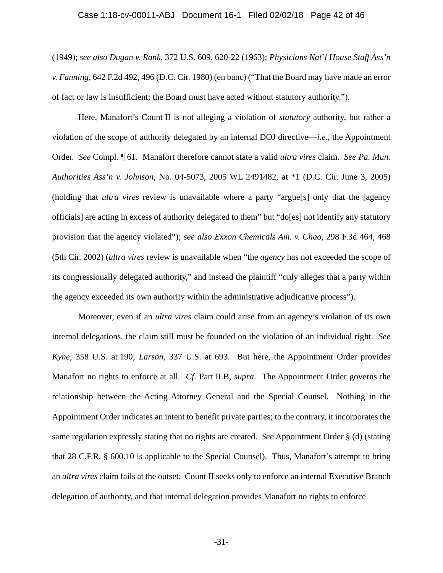#### Case 1:18-cv-00011-ABJ Document 16-1 Filed 02/02/18 Page 42 of 46

(1949); *see also Dugan v. Rank*, 372 U.S. 609, 620-22 (1963); *Physicians Nat'l House Staff Ass'n v. Fanning*, 642 F.2d 492, 496 (D.C. Cir. 1980) (en banc) ("That the Board may have made an error of fact or law is insufficient; the Board must have acted without statutory authority.").

Here, Manafort's Count II is not alleging a violation of *statutory* authority, but rather a violation of the scope of authority delegated by an internal DOJ directive—*i.e.*, the Appointment Order. *See* Compl. ¶ 61. Manafort therefore cannot state a valid *ultra vires* claim. *See Pa. Mun. Authorities Ass'n v. Johnson*, No. 04-5073, 2005 WL 2491482, at \*1 (D.C. Cir. June 3, 2005) (holding that *ultra vires* review is unavailable where a party "argue[s] only that the [agency officials] are acting in excess of authority delegated to them" but "do[es] not identify any statutory provision that the agency violated"); *see also Exxon Chemicals Am. v. Chao*, 298 F.3d 464, 468 (5th Cir. 2002) (*ultra vires* review is unavailable when "the *agency* has not exceeded the scope of its congressionally delegated authority," and instead the plaintiff "only alleges that a party within the agency exceeded its own authority within the administrative adjudicative process").

Moreover, even if an *ultra vires* claim could arise from an agency's violation of its own internal delegations, the claim still must be founded on the violation of an individual right. *See Kyne*, 358 U.S. at 190; *Larson*, 337 U.S. at 693. But here, the Appointment Order provides Manafort no rights to enforce at all. *Cf.* Part II.B, *supra*. The Appointment Order governs the relationship between the Acting Attorney General and the Special Counsel. Nothing in the Appointment Order indicates an intent to benefit private parties; to the contrary, it incorporates the same regulation expressly stating that no rights are created. *See* Appointment Order § (d) (stating that 28 C.F.R. § 600.10 is applicable to the Special Counsel). Thus, Manafort's attempt to bring an *ultra vires* claim fails at the outset: Count II seeks only to enforce an internal Executive Branch delegation of authority, and that internal delegation provides Manafort no rights to enforce.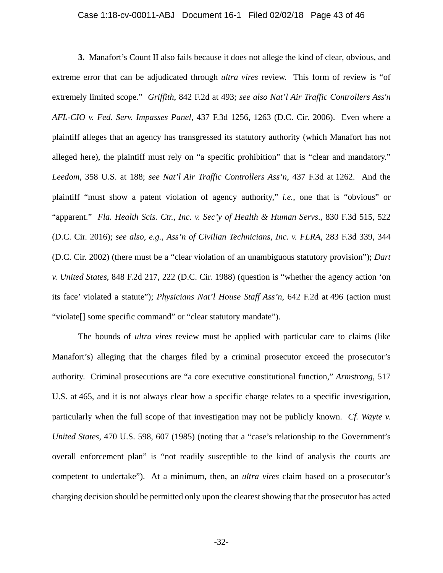### Case 1:18-cv-00011-ABJ Document 16-1 Filed 02/02/18 Page 43 of 46

**3.** Manafort's Count II also fails because it does not allege the kind of clear, obvious, and extreme error that can be adjudicated through *ultra vires* review. This form of review is "of extremely limited scope." *Griffith*, 842 F.2d at 493; *see also Nat'l Air Traffic Controllers Ass'n AFL-CIO v. Fed. Serv. Impasses Panel*, 437 F.3d 1256, 1263 (D.C. Cir. 2006). Even where a plaintiff alleges that an agency has transgressed its statutory authority (which Manafort has not alleged here), the plaintiff must rely on "a specific prohibition" that is "clear and mandatory." *Leedom*, 358 U.S. at 188; *see Nat'l Air Traffic Controllers Ass'n*, 437 F.3d at 1262. And the plaintiff "must show a patent violation of agency authority," *i.e.*, one that is "obvious" or "apparent." *Fla. Health Scis. Ctr., Inc. v. Sec'y of Health & Human Servs*., 830 F.3d 515, 522 (D.C. Cir. 2016); *see also, e.g.*, *Ass'n of Civilian Technicians, Inc. v. FLRA*, 283 F.3d 339, 344 (D.C. Cir. 2002) (there must be a "clear violation of an unambiguous statutory provision"); *Dart v. United States*, 848 F.2d 217, 222 (D.C. Cir. 1988) (question is "whether the agency action 'on its face' violated a statute"); *Physicians Nat'l House Staff Ass'n*, 642 F.2d at 496 (action must "violate[] some specific command" or "clear statutory mandate").

The bounds of *ultra vires* review must be applied with particular care to claims (like Manafort's) alleging that the charges filed by a criminal prosecutor exceed the prosecutor's authority. Criminal prosecutions are "a core executive constitutional function," *Armstrong*, 517 U.S. at 465, and it is not always clear how a specific charge relates to a specific investigation, particularly when the full scope of that investigation may not be publicly known. *Cf. Wayte v. United States*, 470 U.S. 598, 607 (1985) (noting that a "case's relationship to the Government's overall enforcement plan" is "not readily susceptible to the kind of analysis the courts are competent to undertake"). At a minimum, then, an *ultra vires* claim based on a prosecutor's charging decision should be permitted only upon the clearest showing that the prosecutor has acted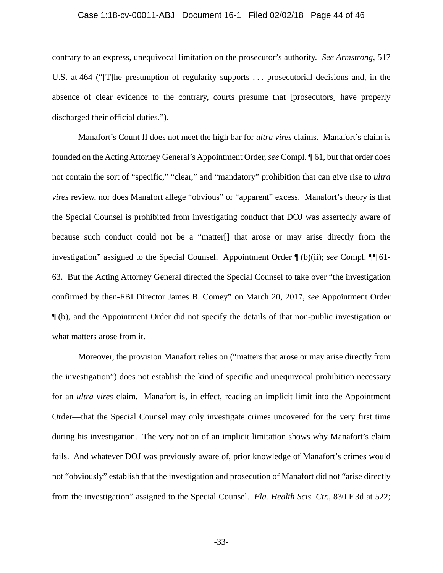#### Case 1:18-cv-00011-ABJ Document 16-1 Filed 02/02/18 Page 44 of 46

contrary to an express, unequivocal limitation on the prosecutor's authority. *See Armstrong*, 517 U.S. at 464 ("[T]he presumption of regularity supports . . . prosecutorial decisions and, in the absence of clear evidence to the contrary, courts presume that [prosecutors] have properly discharged their official duties.").

Manafort's Count II does not meet the high bar for *ultra vires* claims. Manafort's claim is founded on the Acting Attorney General's Appointment Order, *see* Compl. ¶ 61, but that order does not contain the sort of "specific," "clear," and "mandatory" prohibition that can give rise to *ultra vires* review, nor does Manafort allege "obvious" or "apparent" excess. Manafort's theory is that the Special Counsel is prohibited from investigating conduct that DOJ was assertedly aware of because such conduct could not be a "matter[] that arose or may arise directly from the investigation" assigned to the Special Counsel. Appointment Order ¶ (b)(ii); *see* Compl. ¶¶ 61- 63. But the Acting Attorney General directed the Special Counsel to take over "the investigation confirmed by then-FBI Director James B. Comey" on March 20, 2017, *see* Appointment Order ¶ (b), and the Appointment Order did not specify the details of that non-public investigation or what matters arose from it.

Moreover, the provision Manafort relies on ("matters that arose or may arise directly from the investigation") does not establish the kind of specific and unequivocal prohibition necessary for an *ultra vires* claim. Manafort is, in effect, reading an implicit limit into the Appointment Order—that the Special Counsel may only investigate crimes uncovered for the very first time during his investigation. The very notion of an implicit limitation shows why Manafort's claim fails. And whatever DOJ was previously aware of, prior knowledge of Manafort's crimes would not "obviously" establish that the investigation and prosecution of Manafort did not "arise directly from the investigation" assigned to the Special Counsel. *Fla. Health Scis. Ctr.*, 830 F.3d at 522;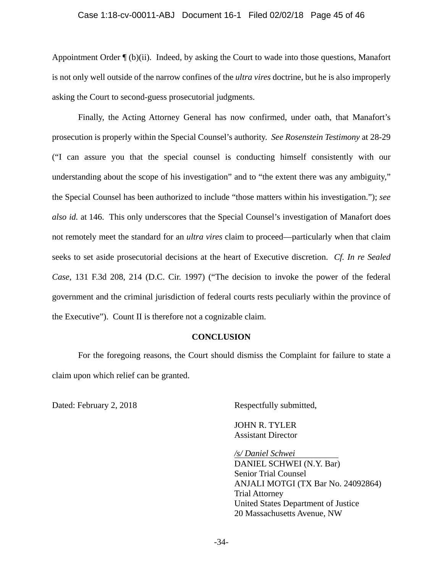### Case 1:18-cv-00011-ABJ Document 16-1 Filed 02/02/18 Page 45 of 46

Appointment Order ¶ (b)(ii). Indeed, by asking the Court to wade into those questions, Manafort is not only well outside of the narrow confines of the *ultra vires* doctrine, but he is also improperly asking the Court to second-guess prosecutorial judgments.

Finally, the Acting Attorney General has now confirmed, under oath, that Manafort's prosecution is properly within the Special Counsel's authority. *See Rosenstein Testimony* at 28-29 ("I can assure you that the special counsel is conducting himself consistently with our understanding about the scope of his investigation" and to "the extent there was any ambiguity," the Special Counsel has been authorized to include "those matters within his investigation."); *see also id.* at 146. This only underscores that the Special Counsel's investigation of Manafort does not remotely meet the standard for an *ultra vires* claim to proceed—particularly when that claim seeks to set aside prosecutorial decisions at the heart of Executive discretion. *Cf. In re Sealed Case*, 131 F.3d 208, 214 (D.C. Cir. 1997) ("The decision to invoke the power of the federal government and the criminal jurisdiction of federal courts rests peculiarly within the province of the Executive"). Count II is therefore not a cognizable claim.

#### **CONCLUSION**

For the foregoing reasons, the Court should dismiss the Complaint for failure to state a claim upon which relief can be granted.

Dated: February 2, 2018 Respectfully submitted,

 JOHN R. TYLER Assistant Director

*/s/ Daniel Schwei*  DANIEL SCHWEI (N.Y. Bar) Senior Trial Counsel ANJALI MOTGI (TX Bar No. 24092864) Trial Attorney United States Department of Justice 20 Massachusetts Avenue, NW